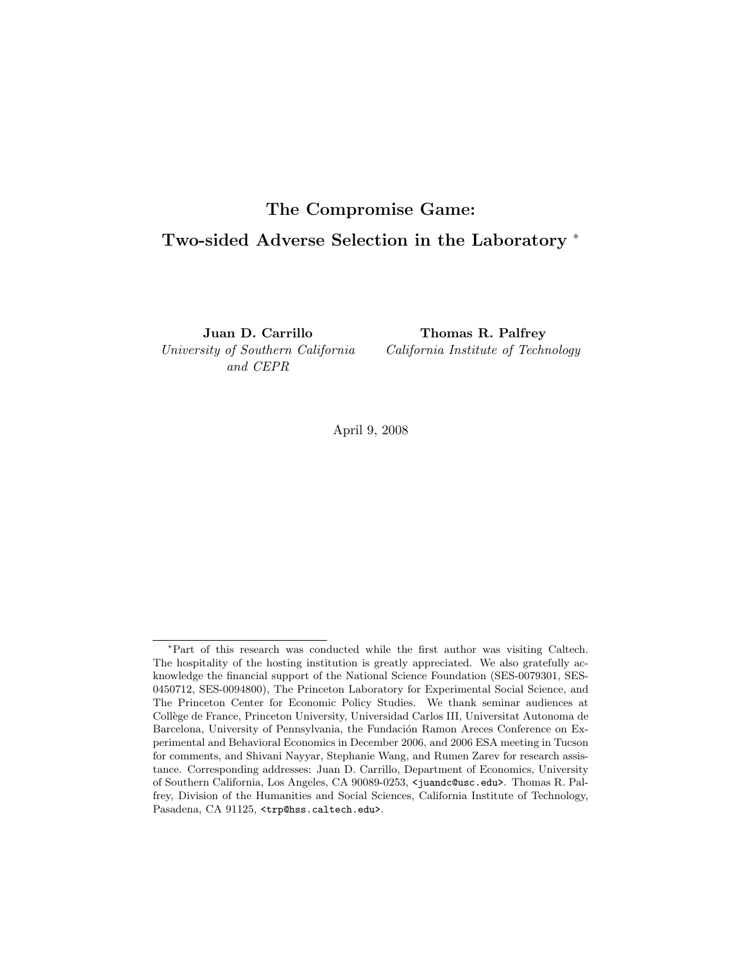# The Compromise Game: Two-sided Adverse Selection in the Laboratory <sup>∗</sup>

Juan D. Carrillo University of Southern California and CEPR

Thomas R. Palfrey California Institute of Technology

April 9, 2008

<sup>∗</sup>Part of this research was conducted while the first author was visiting Caltech. The hospitality of the hosting institution is greatly appreciated. We also gratefully acknowledge the financial support of the National Science Foundation (SES-0079301, SES-0450712, SES-0094800), The Princeton Laboratory for Experimental Social Science, and The Princeton Center for Economic Policy Studies. We thank seminar audiences at Coll`ege de France, Princeton University, Universidad Carlos III, Universitat Autonoma de Barcelona, University of Pennsylvania, the Fundación Ramon Areces Conference on Experimental and Behavioral Economics in December 2006, and 2006 ESA meeting in Tucson for comments, and Shivani Nayyar, Stephanie Wang, and Rumen Zarev for research assistance. Corresponding addresses: Juan D. Carrillo, Department of Economics, University of Southern California, Los Angeles, CA 90089-0253, <juandc@usc.edu>. Thomas R. Palfrey, Division of the Humanities and Social Sciences, California Institute of Technology, Pasadena, CA 91125, <trp@hss.caltech.edu>.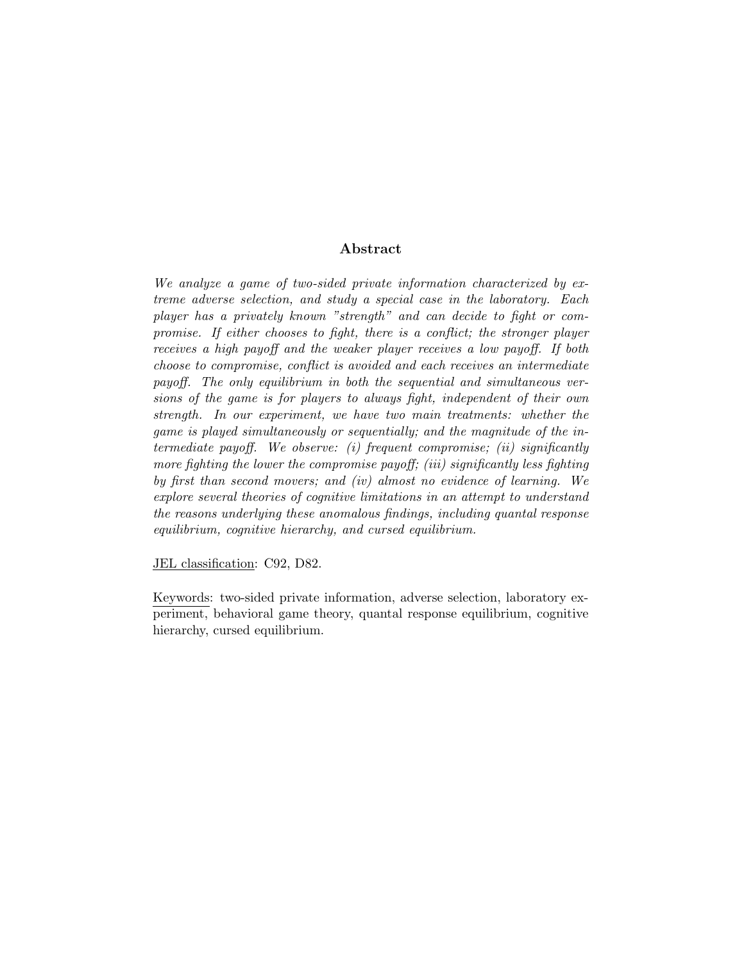### Abstract

We analyze a game of two-sided private information characterized by extreme adverse selection, and study a special case in the laboratory. Each player has a privately known "strength" and can decide to fight or compromise. If either chooses to fight, there is a conflict; the stronger player receives a high payoff and the weaker player receives a low payoff. If both choose to compromise, conflict is avoided and each receives an intermediate payoff. The only equilibrium in both the sequential and simultaneous versions of the game is for players to always fight, independent of their own strength. In our experiment, we have two main treatments: whether the game is played simultaneously or sequentially; and the magnitude of the intermediate payoff. We observe: (i) frequent compromise; (ii) significantly more fighting the lower the compromise payoff; (iii) significantly less fighting by first than second movers; and (iv) almost no evidence of learning. We explore several theories of cognitive limitations in an attempt to understand the reasons underlying these anomalous findings, including quantal response equilibrium, cognitive hierarchy, and cursed equilibrium.

### JEL classification: C92, D82.

Keywords: two-sided private information, adverse selection, laboratory experiment, behavioral game theory, quantal response equilibrium, cognitive hierarchy, cursed equilibrium.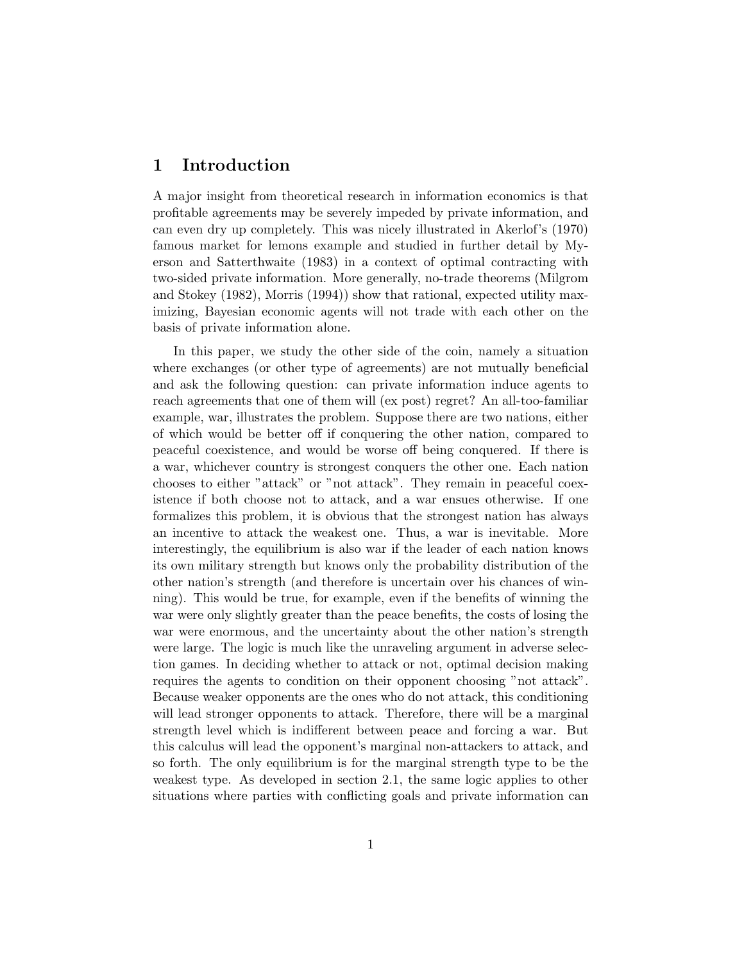### 1 Introduction

A major insight from theoretical research in information economics is that profitable agreements may be severely impeded by private information, and can even dry up completely. This was nicely illustrated in Akerlof's (1970) famous market for lemons example and studied in further detail by Myerson and Satterthwaite (1983) in a context of optimal contracting with two-sided private information. More generally, no-trade theorems (Milgrom and Stokey (1982), Morris (1994)) show that rational, expected utility maximizing, Bayesian economic agents will not trade with each other on the basis of private information alone.

In this paper, we study the other side of the coin, namely a situation where exchanges (or other type of agreements) are not mutually beneficial and ask the following question: can private information induce agents to reach agreements that one of them will (ex post) regret? An all-too-familiar example, war, illustrates the problem. Suppose there are two nations, either of which would be better off if conquering the other nation, compared to peaceful coexistence, and would be worse off being conquered. If there is a war, whichever country is strongest conquers the other one. Each nation chooses to either "attack" or "not attack". They remain in peaceful coexistence if both choose not to attack, and a war ensues otherwise. If one formalizes this problem, it is obvious that the strongest nation has always an incentive to attack the weakest one. Thus, a war is inevitable. More interestingly, the equilibrium is also war if the leader of each nation knows its own military strength but knows only the probability distribution of the other nation's strength (and therefore is uncertain over his chances of winning). This would be true, for example, even if the benefits of winning the war were only slightly greater than the peace benefits, the costs of losing the war were enormous, and the uncertainty about the other nation's strength were large. The logic is much like the unraveling argument in adverse selection games. In deciding whether to attack or not, optimal decision making requires the agents to condition on their opponent choosing "not attack". Because weaker opponents are the ones who do not attack, this conditioning will lead stronger opponents to attack. Therefore, there will be a marginal strength level which is indifferent between peace and forcing a war. But this calculus will lead the opponent's marginal non-attackers to attack, and so forth. The only equilibrium is for the marginal strength type to be the weakest type. As developed in section 2.1, the same logic applies to other situations where parties with conflicting goals and private information can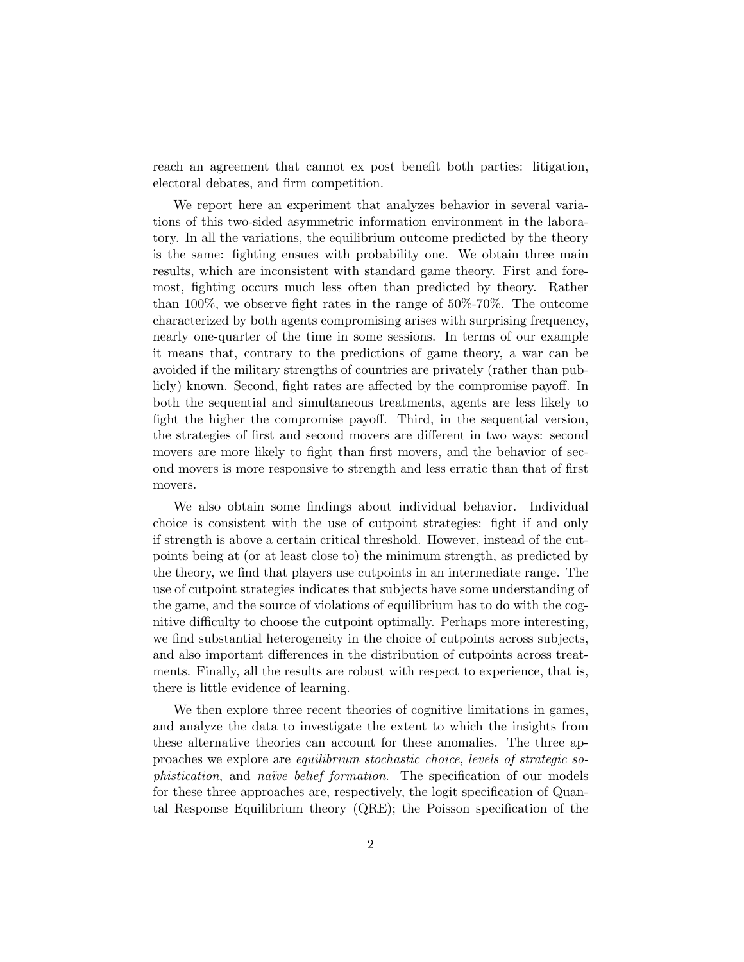reach an agreement that cannot ex post benefit both parties: litigation, electoral debates, and firm competition.

We report here an experiment that analyzes behavior in several variations of this two-sided asymmetric information environment in the laboratory. In all the variations, the equilibrium outcome predicted by the theory is the same: fighting ensues with probability one. We obtain three main results, which are inconsistent with standard game theory. First and foremost, fighting occurs much less often than predicted by theory. Rather than 100%, we observe fight rates in the range of 50%-70%. The outcome characterized by both agents compromising arises with surprising frequency, nearly one-quarter of the time in some sessions. In terms of our example it means that, contrary to the predictions of game theory, a war can be avoided if the military strengths of countries are privately (rather than publicly) known. Second, fight rates are affected by the compromise payoff. In both the sequential and simultaneous treatments, agents are less likely to fight the higher the compromise payoff. Third, in the sequential version, the strategies of first and second movers are different in two ways: second movers are more likely to fight than first movers, and the behavior of second movers is more responsive to strength and less erratic than that of first movers.

We also obtain some findings about individual behavior. Individual choice is consistent with the use of cutpoint strategies: fight if and only if strength is above a certain critical threshold. However, instead of the cutpoints being at (or at least close to) the minimum strength, as predicted by the theory, we find that players use cutpoints in an intermediate range. The use of cutpoint strategies indicates that subjects have some understanding of the game, and the source of violations of equilibrium has to do with the cognitive difficulty to choose the cutpoint optimally. Perhaps more interesting, we find substantial heterogeneity in the choice of cutpoints across subjects, and also important differences in the distribution of cutpoints across treatments. Finally, all the results are robust with respect to experience, that is, there is little evidence of learning.

We then explore three recent theories of cognitive limitations in games, and analyze the data to investigate the extent to which the insights from these alternative theories can account for these anomalies. The three approaches we explore are equilibrium stochastic choice, levels of strategic sophistication, and naïve belief formation. The specification of our models for these three approaches are, respectively, the logit specification of Quantal Response Equilibrium theory (QRE); the Poisson specification of the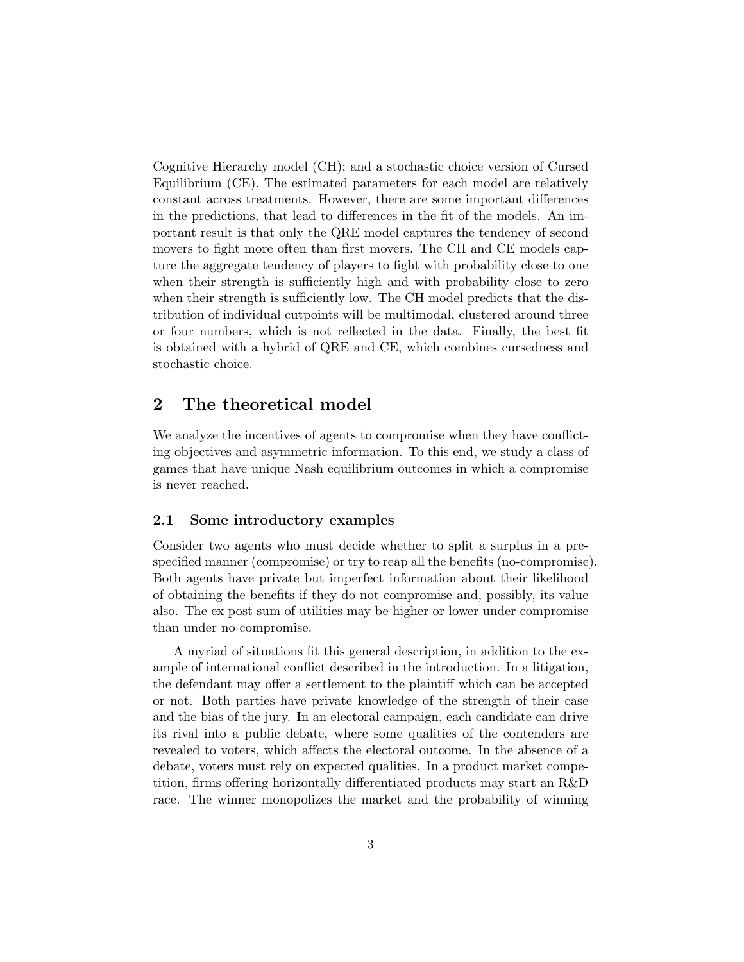Cognitive Hierarchy model (CH); and a stochastic choice version of Cursed Equilibrium (CE). The estimated parameters for each model are relatively constant across treatments. However, there are some important differences in the predictions, that lead to differences in the fit of the models. An important result is that only the QRE model captures the tendency of second movers to fight more often than first movers. The CH and CE models capture the aggregate tendency of players to fight with probability close to one when their strength is sufficiently high and with probability close to zero when their strength is sufficiently low. The CH model predicts that the distribution of individual cutpoints will be multimodal, clustered around three or four numbers, which is not reflected in the data. Finally, the best fit is obtained with a hybrid of QRE and CE, which combines cursedness and stochastic choice.

### 2 The theoretical model

We analyze the incentives of agents to compromise when they have conflicting objectives and asymmetric information. To this end, we study a class of games that have unique Nash equilibrium outcomes in which a compromise is never reached.

### 2.1 Some introductory examples

Consider two agents who must decide whether to split a surplus in a prespecified manner (compromise) or try to reap all the benefits (no-compromise). Both agents have private but imperfect information about their likelihood of obtaining the benefits if they do not compromise and, possibly, its value also. The ex post sum of utilities may be higher or lower under compromise than under no-compromise.

A myriad of situations fit this general description, in addition to the example of international conflict described in the introduction. In a litigation, the defendant may offer a settlement to the plaintiff which can be accepted or not. Both parties have private knowledge of the strength of their case and the bias of the jury. In an electoral campaign, each candidate can drive its rival into a public debate, where some qualities of the contenders are revealed to voters, which affects the electoral outcome. In the absence of a debate, voters must rely on expected qualities. In a product market competition, firms offering horizontally differentiated products may start an R&D race. The winner monopolizes the market and the probability of winning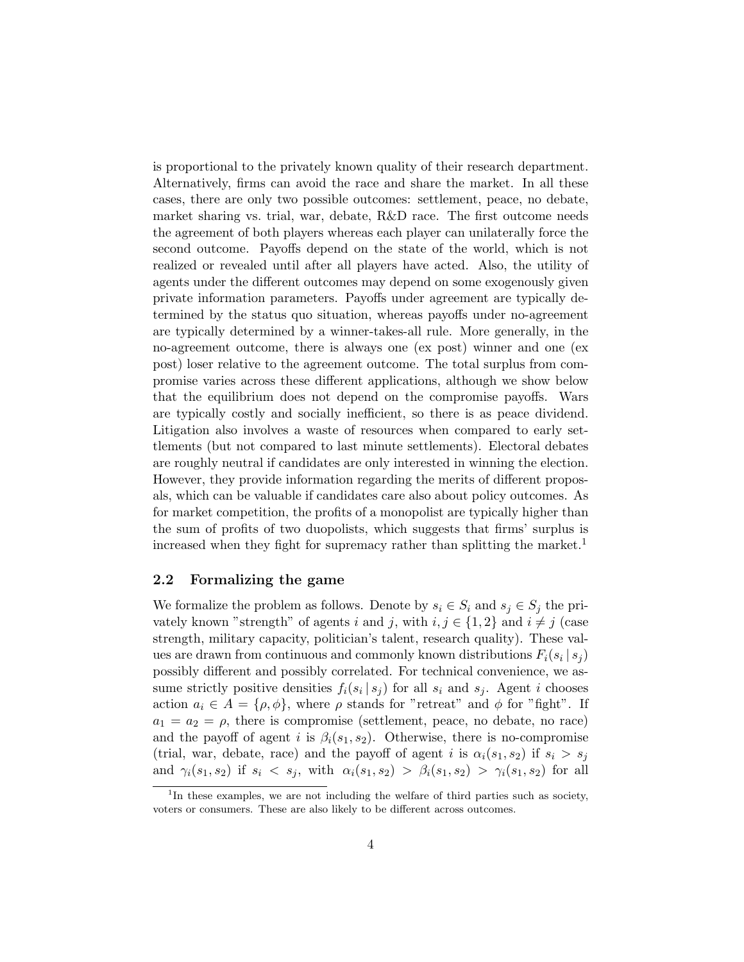is proportional to the privately known quality of their research department. Alternatively, firms can avoid the race and share the market. In all these cases, there are only two possible outcomes: settlement, peace, no debate, market sharing vs. trial, war, debate, R&D race. The first outcome needs the agreement of both players whereas each player can unilaterally force the second outcome. Payoffs depend on the state of the world, which is not realized or revealed until after all players have acted. Also, the utility of agents under the different outcomes may depend on some exogenously given private information parameters. Payoffs under agreement are typically determined by the status quo situation, whereas payoffs under no-agreement are typically determined by a winner-takes-all rule. More generally, in the no-agreement outcome, there is always one (ex post) winner and one (ex post) loser relative to the agreement outcome. The total surplus from compromise varies across these different applications, although we show below that the equilibrium does not depend on the compromise payoffs. Wars are typically costly and socially inefficient, so there is as peace dividend. Litigation also involves a waste of resources when compared to early settlements (but not compared to last minute settlements). Electoral debates are roughly neutral if candidates are only interested in winning the election. However, they provide information regarding the merits of different proposals, which can be valuable if candidates care also about policy outcomes. As for market competition, the profits of a monopolist are typically higher than the sum of profits of two duopolists, which suggests that firms' surplus is increased when they fight for supremacy rather than splitting the market.<sup>1</sup>

### 2.2 Formalizing the game

We formalize the problem as follows. Denote by  $s_i \in S_i$  and  $s_j \in S_j$  the privately known "strength" of agents i and j, with  $i, j \in \{1, 2\}$  and  $i \neq j$  (case strength, military capacity, politician's talent, research quality). These values are drawn from continuous and commonly known distributions  $F_i(s_i | s_j)$ possibly different and possibly correlated. For technical convenience, we assume strictly positive densities  $f_i(s_i | s_j)$  for all  $s_i$  and  $s_j$ . Agent i chooses action  $a_i \in A = {\rho, \phi}$ , where  $\rho$  stands for "retreat" and  $\phi$  for "fight". If  $a_1 = a_2 = \rho$ , there is compromise (settlement, peace, no debate, no race) and the payoff of agent i is  $\beta_i(s_1, s_2)$ . Otherwise, there is no-compromise (trial, war, debate, race) and the payoff of agent i is  $\alpha_i(s_1, s_2)$  if  $s_i > s_j$ and  $\gamma_i(s_1, s_2)$  if  $s_i < s_j$ , with  $\alpha_i(s_1, s_2) > \beta_i(s_1, s_2) > \gamma_i(s_1, s_2)$  for all

<sup>&</sup>lt;sup>1</sup>In these examples, we are not including the welfare of third parties such as society, voters or consumers. These are also likely to be different across outcomes.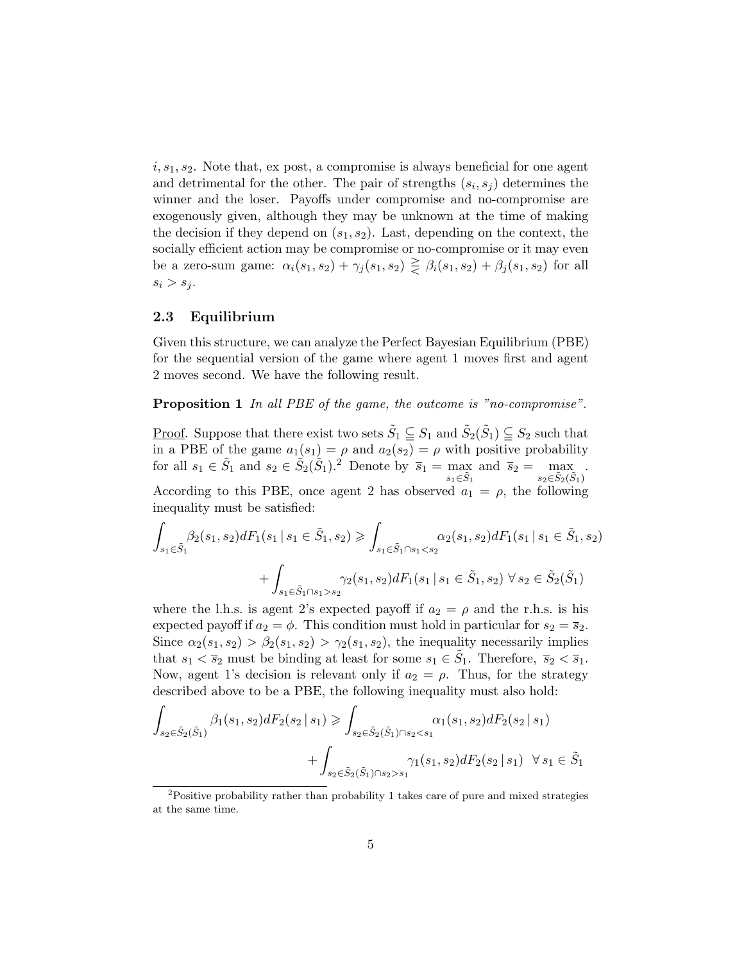$i, s<sub>1</sub>, s<sub>2</sub>$ . Note that, ex post, a compromise is always beneficial for one agent and detrimental for the other. The pair of strengths  $(s_i, s_j)$  determines the winner and the loser. Payoffs under compromise and no-compromise are exogenously given, although they may be unknown at the time of making the decision if they depend on  $(s_1, s_2)$ . Last, depending on the context, the socially efficient action may be compromise or no-compromise or it may even be a zero-sum game:  $\alpha_i(s_1, s_2) + \gamma_j(s_1, s_2) \geq \beta_i(s_1, s_2) + \beta_j(s_1, s_2)$  for all  $s_i > s_j$ .

### 2.3 Equilibrium

Given this structure, we can analyze the Perfect Bayesian Equilibrium (PBE) for the sequential version of the game where agent 1 moves first and agent 2 moves second. We have the following result.

**Proposition 1** In all PBE of the game, the outcome is "no-compromise".

<u>Proof</u>. Suppose that there exist two sets  $\tilde{S}_1 \subseteqq S_1$  and  $\tilde{S}_2(\tilde{S}_1) \subseteqq S_2$  such that in a PBE of the game  $a_1(s_1) = \rho$  and  $a_2(s_2) = \rho$  with positive probability for all  $s_1 \in \tilde{S}_1$  and  $s_2 \in \tilde{S}_2(\tilde{S}_1)$ .<sup>2</sup> Denote by  $\bar{s}_1 = \max$  and  $\bar{s}_2 = \max$ .  $s_1 \in \tilde{S}_1$  $s_2 \in \tilde{S}_2(\tilde{S}_1)$ According to this PBE, once agent 2 has observed  $a_1 = \rho$ , the following inequality must be satisfied:

$$
\int_{s_1 \in \tilde{S}_1} \beta_2(s_1, s_2) dF_1(s_1 \mid s_1 \in \tilde{S}_1, s_2) \ge \int_{s_1 \in \tilde{S}_1 \cap s_1 < s_2} \alpha_2(s_1, s_2) dF_1(s_1 \mid s_1 \in \tilde{S}_1, s_2) + \int_{s_1 \in \tilde{S}_1 \cap s_1 > s_2} \gamma_2(s_1, s_2) dF_1(s_1 \mid s_1 \in \tilde{S}_1, s_2) \,\forall \, s_2 \in \tilde{S}_2(\tilde{S}_1)
$$

where the l.h.s. is agent 2's expected payoff if  $a_2 = \rho$  and the r.h.s. is his expected payoff if  $a_2 = \phi$ . This condition must hold in particular for  $s_2 = \overline{s}_2$ . Since  $\alpha_2(s_1, s_2) > \beta_2(s_1, s_2) > \gamma_2(s_1, s_2)$ , the inequality necessarily implies that  $s_1 < \overline{s}_2$  must be binding at least for some  $s_1 \in \tilde{S}_1$ . Therefore,  $\overline{s}_2 < \overline{s}_1$ . Now, agent 1's decision is relevant only if  $a_2 = \rho$ . Thus, for the strategy described above to be a PBE, the following inequality must also hold:

$$
\int_{s_2 \in \tilde{S}_2(\tilde{S}_1)} \beta_1(s_1, s_2) dF_2(s_2 \mid s_1) \ge \int_{s_2 \in \tilde{S}_2(\tilde{S}_1) \cap s_2 < s_1} \alpha_1(s_1, s_2) dF_2(s_2 \mid s_1) + \int_{s_2 \in \tilde{S}_2(\tilde{S}_1) \cap s_2 > s_1} \gamma_1(s_1, s_2) dF_2(s_2 \mid s_1) \quad \forall s_1 \in \tilde{S}_1
$$

 $2$ Positive probability rather than probability 1 takes care of pure and mixed strategies at the same time.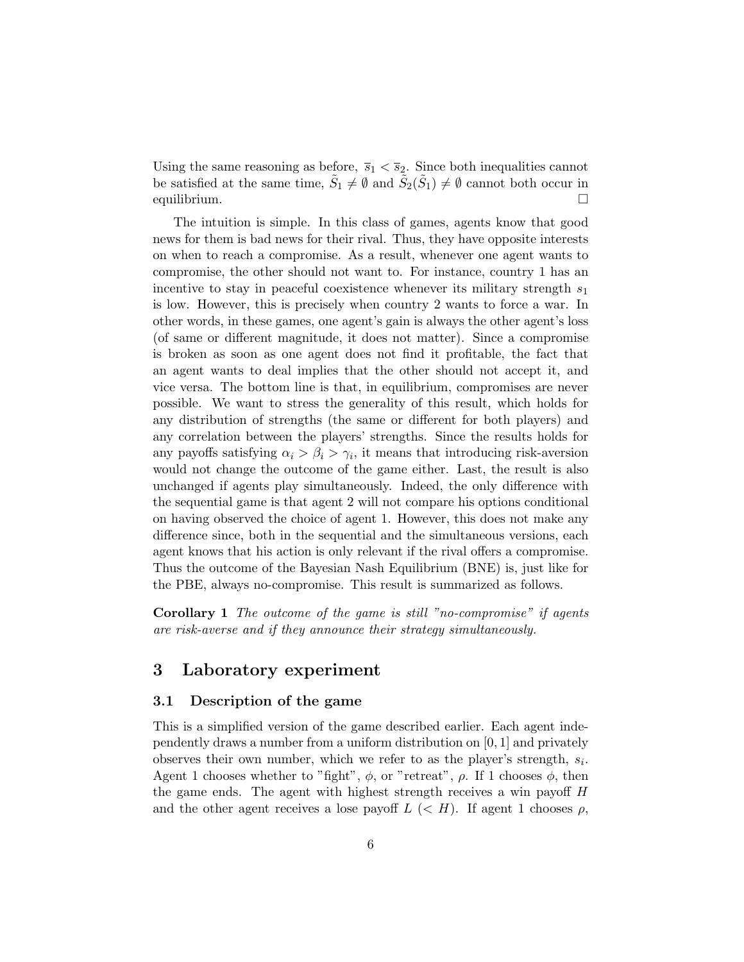Using the same reasoning as before,  $\overline{s}_1 < \overline{s}_2$ . Since both inequalities cannot be satisfied at the same time,  $\tilde{S}_1 \neq \emptyset$  and  $\tilde{S}_2(\tilde{S}_1) \neq \emptyset$  cannot both occur in equilibrium.

The intuition is simple. In this class of games, agents know that good news for them is bad news for their rival. Thus, they have opposite interests on when to reach a compromise. As a result, whenever one agent wants to compromise, the other should not want to. For instance, country 1 has an incentive to stay in peaceful coexistence whenever its military strength  $s_1$ is low. However, this is precisely when country 2 wants to force a war. In other words, in these games, one agent's gain is always the other agent's loss (of same or different magnitude, it does not matter). Since a compromise is broken as soon as one agent does not find it profitable, the fact that an agent wants to deal implies that the other should not accept it, and vice versa. The bottom line is that, in equilibrium, compromises are never possible. We want to stress the generality of this result, which holds for any distribution of strengths (the same or different for both players) and any correlation between the players' strengths. Since the results holds for any payoffs satisfying  $\alpha_i > \beta_i > \gamma_i$ , it means that introducing risk-aversion would not change the outcome of the game either. Last, the result is also unchanged if agents play simultaneously. Indeed, the only difference with the sequential game is that agent 2 will not compare his options conditional on having observed the choice of agent 1. However, this does not make any difference since, both in the sequential and the simultaneous versions, each agent knows that his action is only relevant if the rival offers a compromise. Thus the outcome of the Bayesian Nash Equilibrium (BNE) is, just like for the PBE, always no-compromise. This result is summarized as follows.

Corollary 1 The outcome of the game is still "no-compromise" if agents are risk-averse and if they announce their strategy simultaneously.

### 3 Laboratory experiment

### 3.1 Description of the game

This is a simplified version of the game described earlier. Each agent independently draws a number from a uniform distribution on [0, 1] and privately observes their own number, which we refer to as the player's strength,  $s_i$ . Agent 1 chooses whether to "fight",  $\phi$ , or "retreat",  $\rho$ . If 1 chooses  $\phi$ , then the game ends. The agent with highest strength receives a win payoff H and the other agent receives a lose payoff  $L \ll H$ ). If agent 1 chooses  $\rho$ ,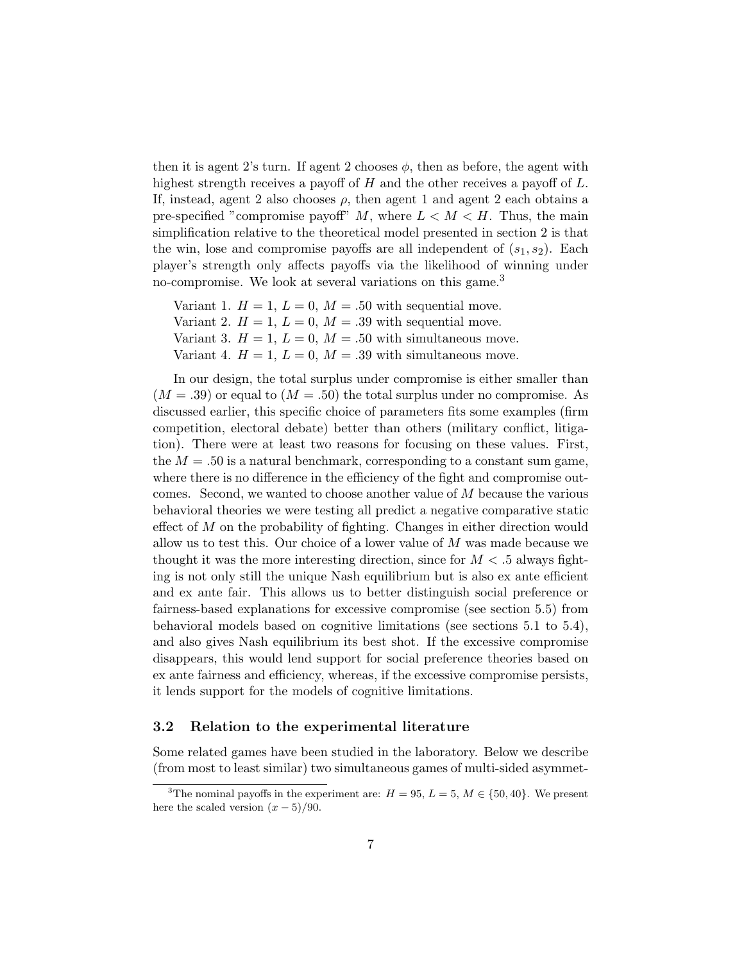then it is agent 2's turn. If agent 2 chooses  $\phi$ , then as before, the agent with highest strength receives a payoff of  $H$  and the other receives a payoff of  $L$ . If, instead, agent 2 also chooses  $\rho$ , then agent 1 and agent 2 each obtains a pre-specified "compromise payoff" M, where  $L < M < H$ . Thus, the main simplification relative to the theoretical model presented in section 2 is that the win, lose and compromise payoffs are all independent of  $(s_1, s_2)$ . Each player's strength only affects payoffs via the likelihood of winning under no-compromise. We look at several variations on this game.<sup>3</sup>

Variant 1.  $H = 1$ ,  $L = 0$ ,  $M = .50$  with sequential move. Variant 2.  $H = 1$ ,  $L = 0$ ,  $M = .39$  with sequential move. Variant 3.  $H = 1$ ,  $L = 0$ ,  $M = .50$  with simultaneous move. Variant 4.  $H = 1, L = 0, M = .39$  with simultaneous move.

In our design, the total surplus under compromise is either smaller than  $(M = .39)$  or equal to  $(M = .50)$  the total surplus under no compromise. As discussed earlier, this specific choice of parameters fits some examples (firm competition, electoral debate) better than others (military conflict, litigation). There were at least two reasons for focusing on these values. First, the  $M = .50$  is a natural benchmark, corresponding to a constant sum game, where there is no difference in the efficiency of the fight and compromise outcomes. Second, we wanted to choose another value of M because the various behavioral theories we were testing all predict a negative comparative static effect of  $M$  on the probability of fighting. Changes in either direction would allow us to test this. Our choice of a lower value of  $M$  was made because we thought it was the more interesting direction, since for  $M < 0.5$  always fighting is not only still the unique Nash equilibrium but is also ex ante efficient and ex ante fair. This allows us to better distinguish social preference or fairness-based explanations for excessive compromise (see section 5.5) from behavioral models based on cognitive limitations (see sections 5.1 to 5.4), and also gives Nash equilibrium its best shot. If the excessive compromise disappears, this would lend support for social preference theories based on ex ante fairness and efficiency, whereas, if the excessive compromise persists, it lends support for the models of cognitive limitations.

### 3.2 Relation to the experimental literature

Some related games have been studied in the laboratory. Below we describe (from most to least similar) two simultaneous games of multi-sided asymmet-

<sup>&</sup>lt;sup>3</sup>The nominal payoffs in the experiment are:  $H = 95$ ,  $L = 5$ ,  $M \in \{50, 40\}$ . We present here the scaled version  $(x - 5)/90$ .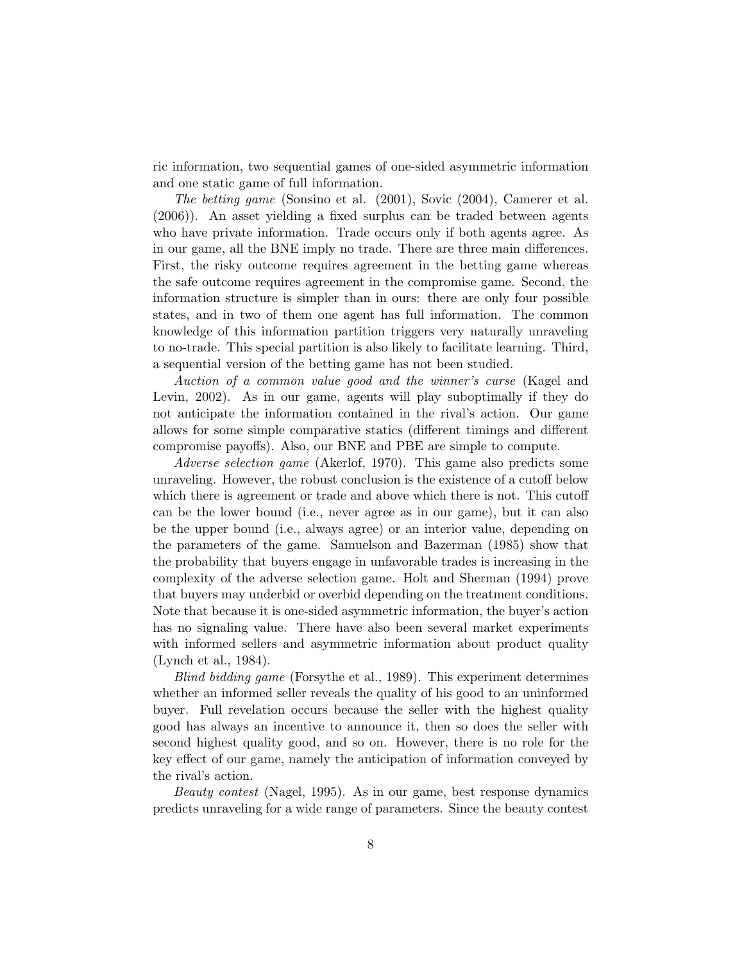ric information, two sequential games of one-sided asymmetric information and one static game of full information.

The betting game (Sonsino et al. (2001), Sovic (2004), Camerer et al. (2006)). An asset yielding a fixed surplus can be traded between agents who have private information. Trade occurs only if both agents agree. As in our game, all the BNE imply no trade. There are three main differences. First, the risky outcome requires agreement in the betting game whereas the safe outcome requires agreement in the compromise game. Second, the information structure is simpler than in ours: there are only four possible states, and in two of them one agent has full information. The common knowledge of this information partition triggers very naturally unraveling to no-trade. This special partition is also likely to facilitate learning. Third, a sequential version of the betting game has not been studied.

Auction of a common value good and the winner's curse (Kagel and Levin, 2002). As in our game, agents will play suboptimally if they do not anticipate the information contained in the rival's action. Our game allows for some simple comparative statics (different timings and different compromise payoffs). Also, our BNE and PBE are simple to compute.

Adverse selection game (Akerlof, 1970). This game also predicts some unraveling. However, the robust conclusion is the existence of a cutoff below which there is agreement or trade and above which there is not. This cutoff can be the lower bound (i.e., never agree as in our game), but it can also be the upper bound (i.e., always agree) or an interior value, depending on the parameters of the game. Samuelson and Bazerman (1985) show that the probability that buyers engage in unfavorable trades is increasing in the complexity of the adverse selection game. Holt and Sherman (1994) prove that buyers may underbid or overbid depending on the treatment conditions. Note that because it is one-sided asymmetric information, the buyer's action has no signaling value. There have also been several market experiments with informed sellers and asymmetric information about product quality (Lynch et al., 1984).

Blind bidding game (Forsythe et al., 1989). This experiment determines whether an informed seller reveals the quality of his good to an uninformed buyer. Full revelation occurs because the seller with the highest quality good has always an incentive to announce it, then so does the seller with second highest quality good, and so on. However, there is no role for the key effect of our game, namely the anticipation of information conveyed by the rival's action.

Beauty contest (Nagel, 1995). As in our game, best response dynamics predicts unraveling for a wide range of parameters. Since the beauty contest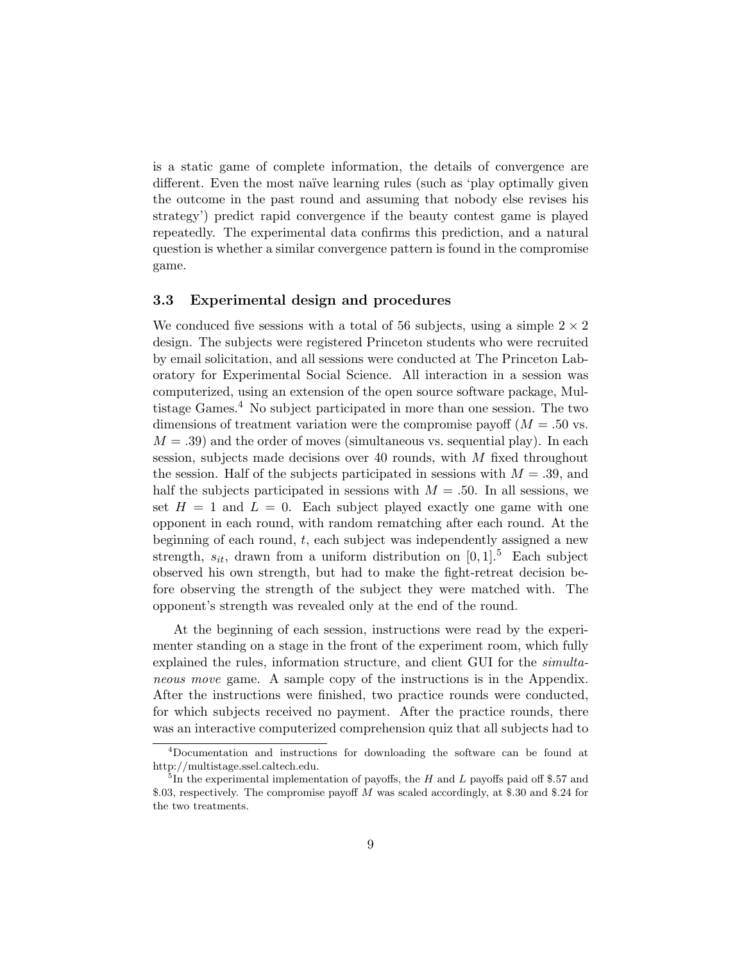is a static game of complete information, the details of convergence are different. Even the most na¨ıve learning rules (such as 'play optimally given the outcome in the past round and assuming that nobody else revises his strategy') predict rapid convergence if the beauty contest game is played repeatedly. The experimental data confirms this prediction, and a natural question is whether a similar convergence pattern is found in the compromise game.

### 3.3 Experimental design and procedures

We conduced five sessions with a total of 56 subjects, using a simple  $2 \times 2$ design. The subjects were registered Princeton students who were recruited by email solicitation, and all sessions were conducted at The Princeton Laboratory for Experimental Social Science. All interaction in a session was computerized, using an extension of the open source software package, Multistage Games.<sup>4</sup> No subject participated in more than one session. The two dimensions of treatment variation were the compromise payoff  $(M = .50 \text{ vs.})$  $M = .39$ ) and the order of moves (simultaneous vs. sequential play). In each session, subjects made decisions over 40 rounds, with M fixed throughout the session. Half of the subjects participated in sessions with  $M = .39$ , and half the subjects participated in sessions with  $M = .50$ . In all sessions, we set  $H = 1$  and  $L = 0$ . Each subject played exactly one game with one opponent in each round, with random rematching after each round. At the beginning of each round,  $t$ , each subject was independently assigned a new strength,  $s_{it}$ , drawn from a uniform distribution on [0, 1].<sup>5</sup> Each subject observed his own strength, but had to make the fight-retreat decision before observing the strength of the subject they were matched with. The opponent's strength was revealed only at the end of the round.

At the beginning of each session, instructions were read by the experimenter standing on a stage in the front of the experiment room, which fully explained the rules, information structure, and client GUI for the *simulta*neous move game. A sample copy of the instructions is in the Appendix. After the instructions were finished, two practice rounds were conducted, for which subjects received no payment. After the practice rounds, there was an interactive computerized comprehension quiz that all subjects had to

<sup>4</sup>Documentation and instructions for downloading the software can be found at http://multistage.ssel.caltech.edu.

<sup>&</sup>lt;sup>5</sup>In the experimental implementation of payoffs, the H and L payoffs paid off \$.57 and \$.03, respectively. The compromise payoff M was scaled accordingly, at \$.30 and \$.24 for the two treatments.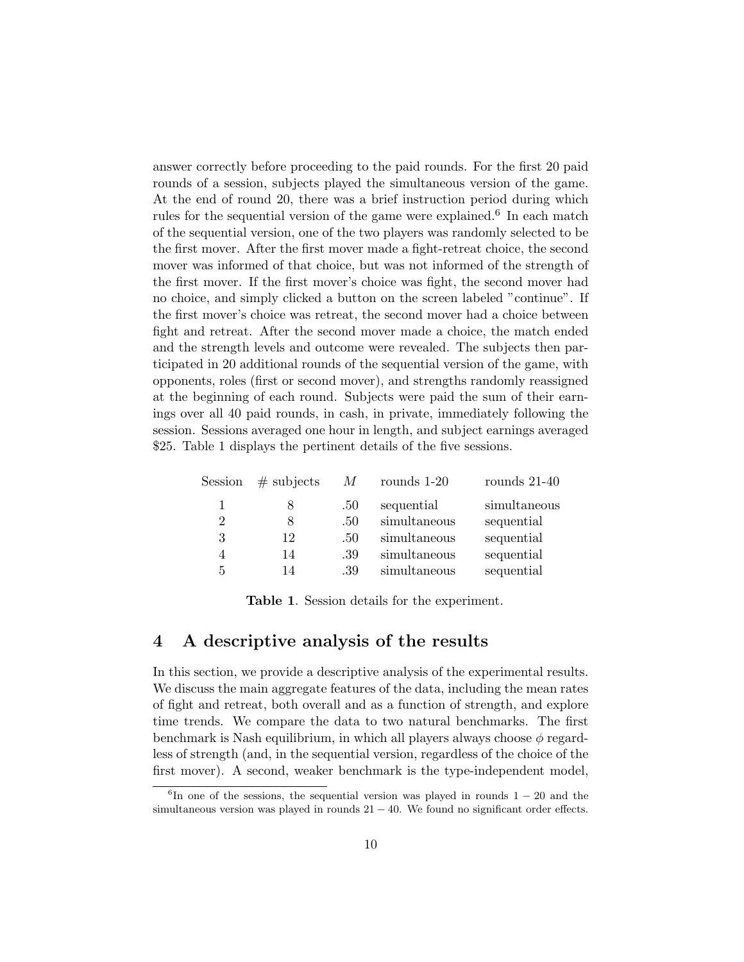answer correctly before proceeding to the paid rounds. For the first 20 paid rounds of a session, subjects played the simultaneous version of the game. At the end of round 20, there was a brief instruction period during which rules for the sequential version of the game were explained.<sup>6</sup> In each match of the sequential version, one of the two players was randomly selected to be the first mover. After the first mover made a fight-retreat choice, the second mover was informed of that choice, but was not informed of the strength of the first mover. If the first mover's choice was fight, the second mover had no choice, and simply clicked a button on the screen labeled "continue". If the first mover's choice was retreat, the second mover had a choice between fight and retreat. After the second mover made a choice, the match ended and the strength levels and outcome were revealed. The subjects then participated in 20 additional rounds of the sequential version of the game, with opponents, roles (first or second mover), and strengths randomly reassigned at the beginning of each round. Subjects were paid the sum of their earnings over all 40 paid rounds, in cash, in private, immediately following the session. Sessions averaged one hour in length, and subject earnings averaged \$25. Table 1 displays the pertinent details of the five sessions.

| Session | $\#$ subjects | М   | rounds 1-20  | rounds $21-40$ |
|---------|---------------|-----|--------------|----------------|
|         | 8             | .50 | sequential   | simultaneous   |
| 2       | 8             | -50 | simultaneous | sequential     |
| 3       | 12            | -50 | simultaneous | sequential     |
| 4       | 14            | .39 | simultaneous | sequential     |
| 5       | 14            | .39 | simultaneous | sequential     |

Table 1. Session details for the experiment.

### 4 A descriptive analysis of the results

In this section, we provide a descriptive analysis of the experimental results. We discuss the main aggregate features of the data, including the mean rates of fight and retreat, both overall and as a function of strength, and explore time trends. We compare the data to two natural benchmarks. The first benchmark is Nash equilibrium, in which all players always choose  $\phi$  regardless of strength (and, in the sequential version, regardless of the choice of the first mover). A second, weaker benchmark is the type-independent model,

 ${}^{6}$ In one of the sessions, the sequential version was played in rounds 1 – 20 and the simultaneous version was played in rounds  $21 - 40$ . We found no significant order effects.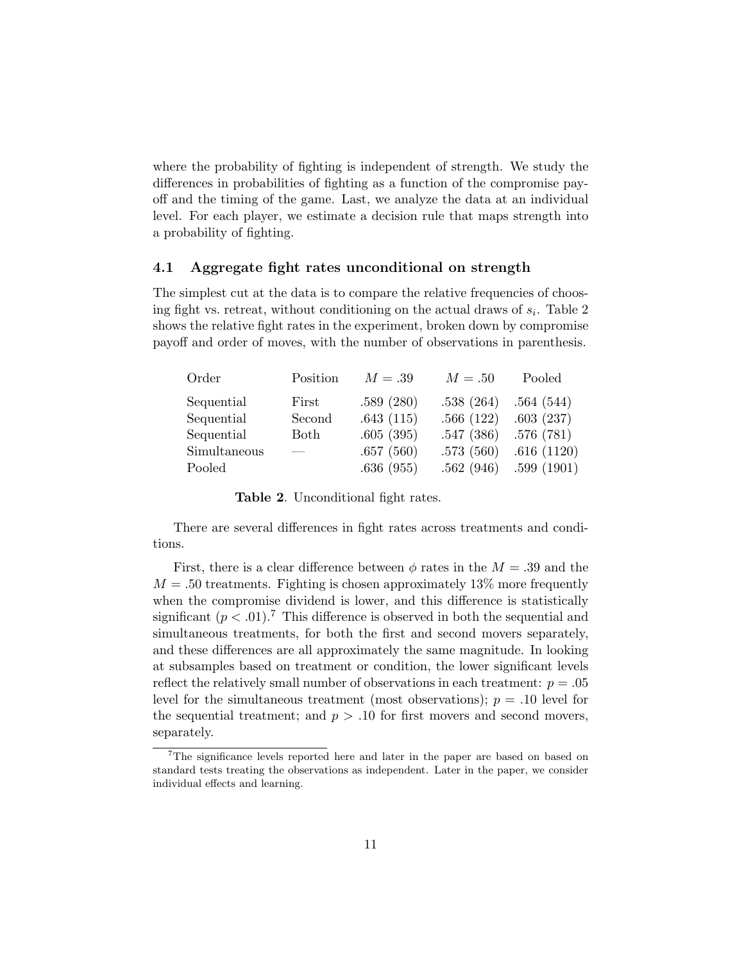where the probability of fighting is independent of strength. We study the differences in probabilities of fighting as a function of the compromise payoff and the timing of the game. Last, we analyze the data at an individual level. For each player, we estimate a decision rule that maps strength into a probability of fighting.

### 4.1 Aggregate fight rates unconditional on strength

The simplest cut at the data is to compare the relative frequencies of choosing fight vs. retreat, without conditioning on the actual draws of  $s_i$ . Table 2 shows the relative fight rates in the experiment, broken down by compromise payoff and order of moves, with the number of observations in parenthesis.

| Order        | Position | $M=.39$   | $M=.50$   | Pooled     |
|--------------|----------|-----------|-----------|------------|
| Sequential   | First    | .589(280) | .538(264) | .564(544)  |
| Sequential   | Second   | .643(115) | .566(122) | .603(237)  |
| Sequential   | Both     | .605(395) | .547(386) | .576(781)  |
| Simultaneous |          | .657(560) | .573(560) | .616(1120) |
| Pooled       |          | .636(955) | .562(946) | .599(1901) |

Table 2. Unconditional fight rates.

There are several differences in fight rates across treatments and conditions.

First, there is a clear difference between  $\phi$  rates in the  $M = .39$  and the  $M = .50$  treatments. Fighting is chosen approximately 13\% more frequently when the compromise dividend is lower, and this difference is statistically significant  $(p < .01)^7$ . This difference is observed in both the sequential and simultaneous treatments, for both the first and second movers separately, and these differences are all approximately the same magnitude. In looking at subsamples based on treatment or condition, the lower significant levels reflect the relatively small number of observations in each treatment:  $p = .05$ level for the simultaneous treatment (most observations);  $p = .10$  level for the sequential treatment; and  $p > .10$  for first movers and second movers, separately.

<sup>&</sup>lt;sup>7</sup>The significance levels reported here and later in the paper are based on based on standard tests treating the observations as independent. Later in the paper, we consider individual effects and learning.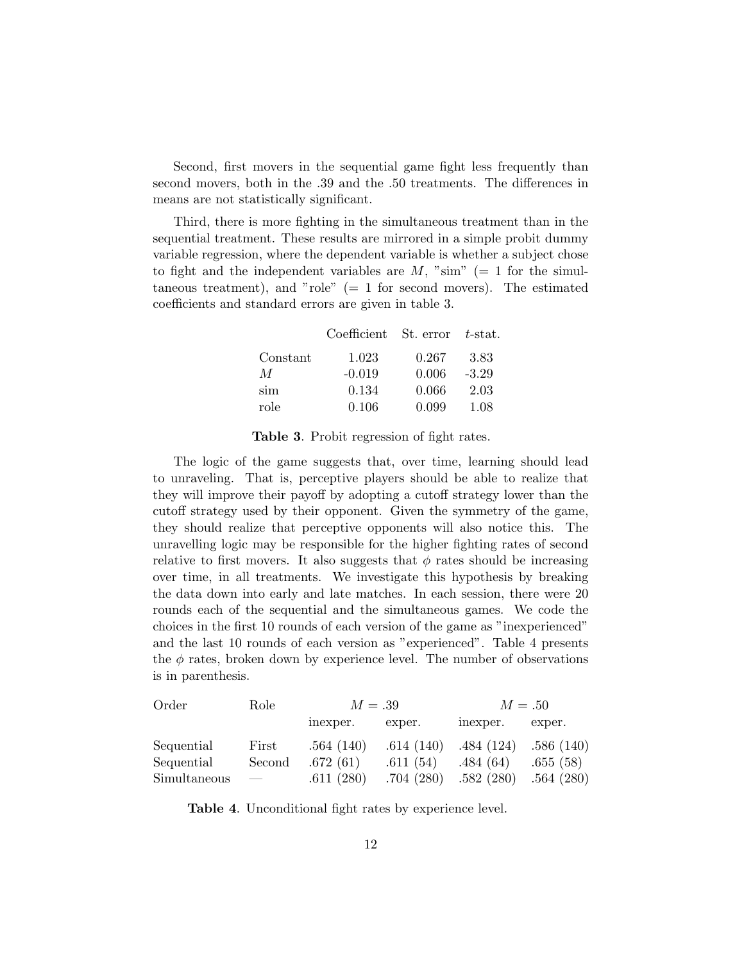Second, first movers in the sequential game fight less frequently than second movers, both in the .39 and the .50 treatments. The differences in means are not statistically significant.

Third, there is more fighting in the simultaneous treatment than in the sequential treatment. These results are mirrored in a simple probit dummy variable regression, where the dependent variable is whether a subject chose to fight and the independent variables are  $M$ , "sim" (= 1 for the simultaneous treatment), and "role"  $(= 1$  for second movers). The estimated coefficients and standard errors are given in table 3.

|                      | Coefficient St. error $t$ -stat. |       |         |
|----------------------|----------------------------------|-------|---------|
| Constant             | 1.023                            | 0.267 | 3.83    |
| М                    | $-0.019$                         | 0.006 | $-3.29$ |
| $\operatorname{sim}$ | 0.134                            | 0.066 | 2.03    |
| role                 | 0.106                            | 0.099 | 1.08    |

Table 3. Probit regression of fight rates.

The logic of the game suggests that, over time, learning should lead to unraveling. That is, perceptive players should be able to realize that they will improve their payoff by adopting a cutoff strategy lower than the cutoff strategy used by their opponent. Given the symmetry of the game, they should realize that perceptive opponents will also notice this. The unravelling logic may be responsible for the higher fighting rates of second relative to first movers. It also suggests that  $\phi$  rates should be increasing over time, in all treatments. We investigate this hypothesis by breaking the data down into early and late matches. In each session, there were 20 rounds each of the sequential and the simultaneous games. We code the choices in the first 10 rounds of each version of the game as "inexperienced" and the last 10 rounds of each version as "experienced". Table 4 presents the  $\phi$  rates, broken down by experience level. The number of observations is in parenthesis.

| Order        | Role   | $M=.39$   |           | $M=.50$   |           |  |
|--------------|--------|-----------|-----------|-----------|-----------|--|
|              |        | inexper.  | exper.    | inexper.  | exper.    |  |
| Sequential   | First  | .564(140) | .614(140) | .484(124) | .586(140) |  |
| Sequential   | Second | .672(61)  | .611(54)  | .484(64)  | .655(58)  |  |
| Simultaneous |        | .611(280) | .704(280) | .582(280) | .564(280) |  |

Table 4. Unconditional fight rates by experience level.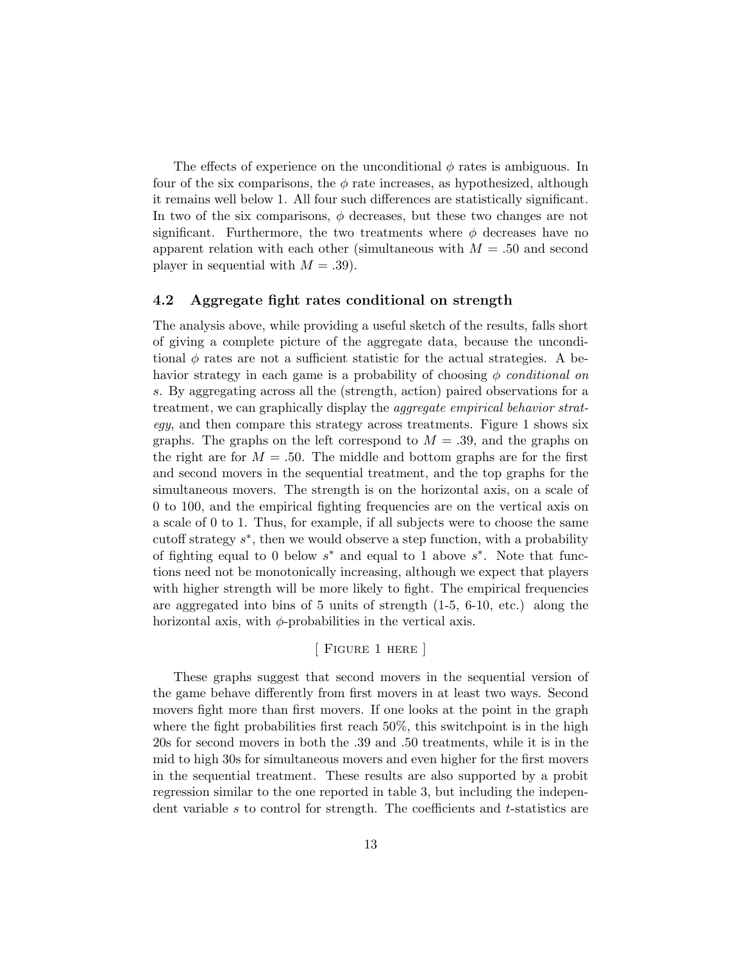The effects of experience on the unconditional  $\phi$  rates is ambiguous. In four of the six comparisons, the  $\phi$  rate increases, as hypothesized, although it remains well below 1. All four such differences are statistically significant. In two of the six comparisons,  $\phi$  decreases, but these two changes are not significant. Furthermore, the two treatments where  $\phi$  decreases have no apparent relation with each other (simultaneous with  $M = .50$  and second player in sequential with  $M = .39$ .

### 4.2 Aggregate fight rates conditional on strength

The analysis above, while providing a useful sketch of the results, falls short of giving a complete picture of the aggregate data, because the unconditional  $\phi$  rates are not a sufficient statistic for the actual strategies. A behavior strategy in each game is a probability of choosing  $\phi$  conditional on s. By aggregating across all the (strength, action) paired observations for a treatment, we can graphically display the aggregate empirical behavior strategy, and then compare this strategy across treatments. Figure 1 shows six graphs. The graphs on the left correspond to  $M = .39$ , and the graphs on the right are for  $M = .50$ . The middle and bottom graphs are for the first and second movers in the sequential treatment, and the top graphs for the simultaneous movers. The strength is on the horizontal axis, on a scale of 0 to 100, and the empirical fighting frequencies are on the vertical axis on a scale of 0 to 1. Thus, for example, if all subjects were to choose the same cutoff strategy  $s^*$ , then we would observe a step function, with a probability of fighting equal to 0 below  $s^*$  and equal to 1 above  $s^*$ . Note that functions need not be monotonically increasing, although we expect that players with higher strength will be more likely to fight. The empirical frequencies are aggregated into bins of 5 units of strength (1-5, 6-10, etc.) along the horizontal axis, with  $\phi$ -probabilities in the vertical axis.

### [ Figure 1 here ]

These graphs suggest that second movers in the sequential version of the game behave differently from first movers in at least two ways. Second movers fight more than first movers. If one looks at the point in the graph where the fight probabilities first reach 50%, this switchpoint is in the high 20s for second movers in both the .39 and .50 treatments, while it is in the mid to high 30s for simultaneous movers and even higher for the first movers in the sequential treatment. These results are also supported by a probit regression similar to the one reported in table 3, but including the independent variable s to control for strength. The coefficients and t-statistics are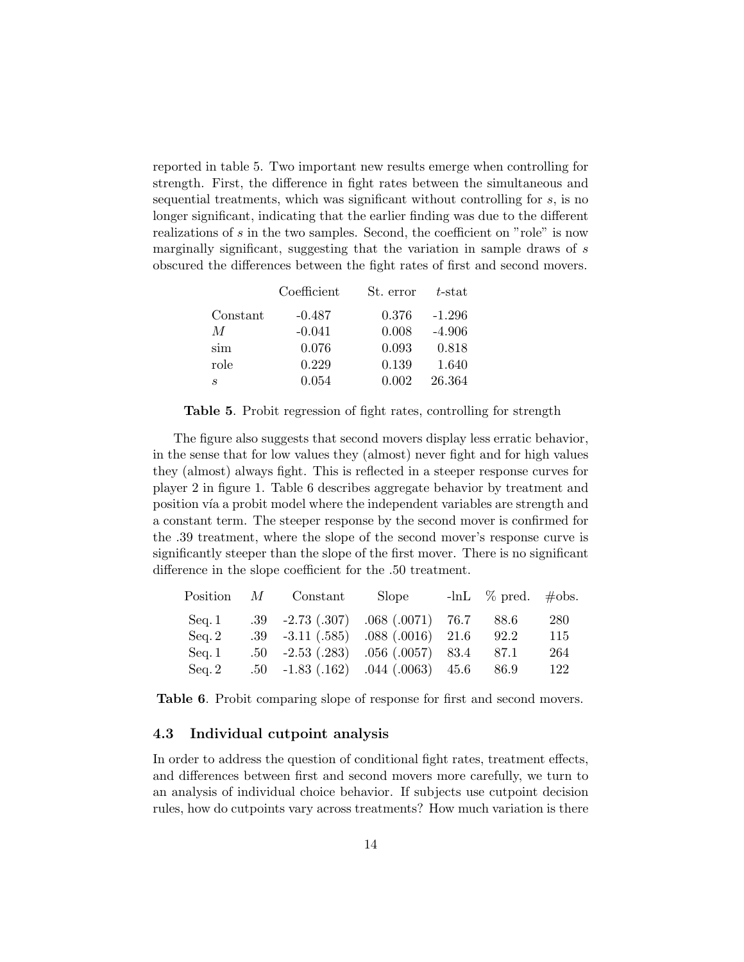reported in table 5. Two important new results emerge when controlling for strength. First, the difference in fight rates between the simultaneous and sequential treatments, which was significant without controlling for s, is no longer significant, indicating that the earlier finding was due to the different realizations of s in the two samples. Second, the coefficient on "role" is now marginally significant, suggesting that the variation in sample draws of s obscured the differences between the fight rates of first and second movers.

|          | Coefficient | St. error | $t$ -stat |
|----------|-------------|-----------|-----------|
| Constant | $-0.487$    | 0.376     | $-1.296$  |
| М        | $-0.041$    | 0.008     | $-4.906$  |
| sim      | 0.076       | 0.093     | 0.818     |
| role     | 0.229       | 0.139     | 1.640     |
| -S       | 0.054       | 0.002     | 26.364    |

Table 5. Probit regression of fight rates, controlling for strength

The figure also suggests that second movers display less erratic behavior, in the sense that for low values they (almost) never fight and for high values they (almost) always fight. This is reflected in a steeper response curves for player 2 in figure 1. Table 6 describes aggregate behavior by treatment and position vía a probit model where the independent variables are strength and a constant term. The steeper response by the second mover is confirmed for the .39 treatment, where the slope of the second mover's response curve is significantly steeper than the slope of the first mover. There is no significant difference in the slope coefficient for the .50 treatment.

| Position $M$ | Constant | Slope                                                 | $-\ln L \quad \%$ pred. #obs. |     |
|--------------|----------|-------------------------------------------------------|-------------------------------|-----|
| Seq.1        |          | $.39 -2.73(.307)$ $.068(.0071)$ $76.7$ 88.6           |                               | 280 |
| Seq.2        |          | $.39 -3.11(.585)$ $.088(.0016)$ $.21.6$ $.92.2$       |                               | 115 |
| Seq.1        |          | $.50 -2.53(.283)$ $.056(.0057)$ $83.4$ $87.1$         |                               | 264 |
| Seq.2        |          | $.50$ $-1.83$ $(.162)$ $.044$ $(.0063)$ $45.6$ $86.9$ |                               | 122 |

Table 6. Probit comparing slope of response for first and second movers.

### 4.3 Individual cutpoint analysis

In order to address the question of conditional fight rates, treatment effects, and differences between first and second movers more carefully, we turn to an analysis of individual choice behavior. If subjects use cutpoint decision rules, how do cutpoints vary across treatments? How much variation is there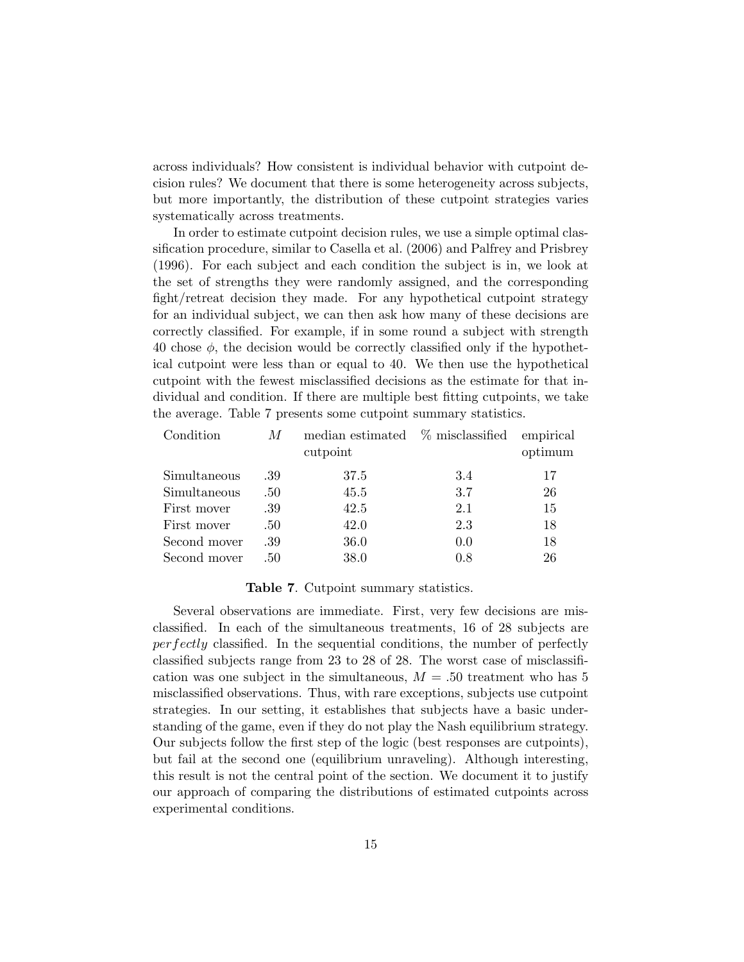across individuals? How consistent is individual behavior with cutpoint decision rules? We document that there is some heterogeneity across subjects, but more importantly, the distribution of these cutpoint strategies varies systematically across treatments.

In order to estimate cutpoint decision rules, we use a simple optimal classification procedure, similar to Casella et al. (2006) and Palfrey and Prisbrey (1996). For each subject and each condition the subject is in, we look at the set of strengths they were randomly assigned, and the corresponding fight/retreat decision they made. For any hypothetical cutpoint strategy for an individual subject, we can then ask how many of these decisions are correctly classified. For example, if in some round a subject with strength 40 chose  $\phi$ , the decision would be correctly classified only if the hypothetical cutpoint were less than or equal to 40. We then use the hypothetical cutpoint with the fewest misclassified decisions as the estimate for that individual and condition. If there are multiple best fitting cutpoints, we take the average. Table 7 presents some cutpoint summary statistics.

| Condition    | М   | median estimated % misclassified<br>cutpoint |     | empirical<br>optimum |
|--------------|-----|----------------------------------------------|-----|----------------------|
| Simultaneous | .39 | 37.5                                         | 3.4 | 17                   |
| Simultaneous | .50 | 45.5                                         | 3.7 | 26                   |
| First mover  | .39 | 42.5                                         | 2.1 | 15                   |
| First mover  | .50 | 42.0                                         | 2.3 | 18                   |
| Second mover | .39 | 36.0                                         | 0.0 | 18                   |
| Second mover | .50 | 38.0                                         | 0.8 | 26                   |

Table 7. Cutpoint summary statistics.

Several observations are immediate. First, very few decisions are misclassified. In each of the simultaneous treatments, 16 of 28 subjects are perfectly classified. In the sequential conditions, the number of perfectly classified subjects range from 23 to 28 of 28. The worst case of misclassification was one subject in the simultaneous,  $M = .50$  treatment who has 5 misclassified observations. Thus, with rare exceptions, subjects use cutpoint strategies. In our setting, it establishes that subjects have a basic understanding of the game, even if they do not play the Nash equilibrium strategy. Our subjects follow the first step of the logic (best responses are cutpoints), but fail at the second one (equilibrium unraveling). Although interesting, this result is not the central point of the section. We document it to justify our approach of comparing the distributions of estimated cutpoints across experimental conditions.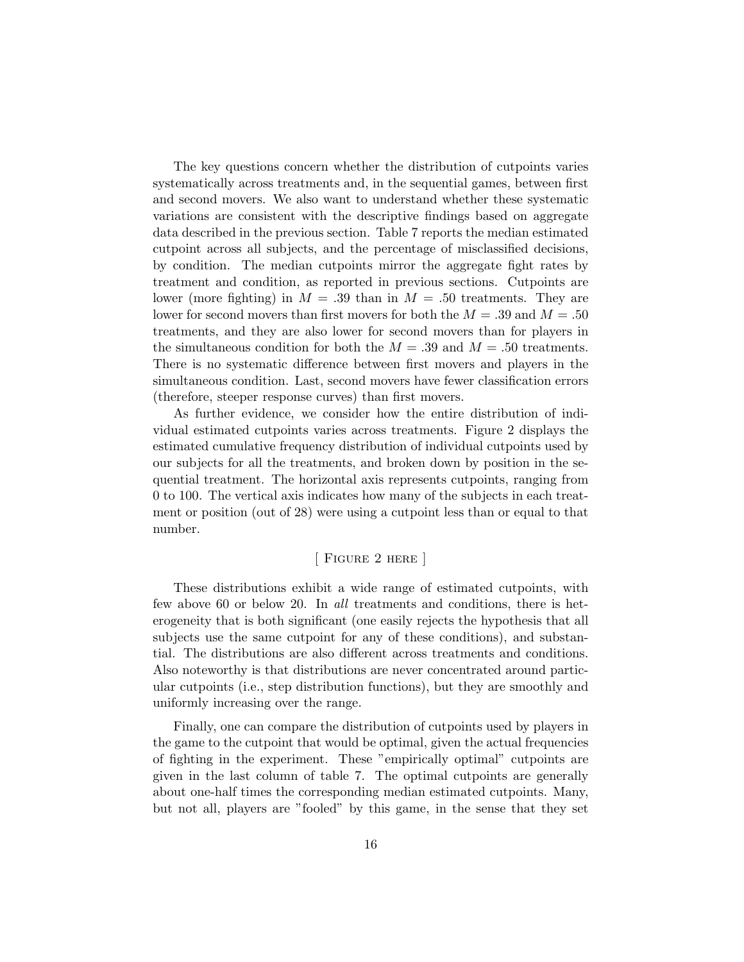The key questions concern whether the distribution of cutpoints varies systematically across treatments and, in the sequential games, between first and second movers. We also want to understand whether these systematic variations are consistent with the descriptive findings based on aggregate data described in the previous section. Table 7 reports the median estimated cutpoint across all subjects, and the percentage of misclassified decisions, by condition. The median cutpoints mirror the aggregate fight rates by treatment and condition, as reported in previous sections. Cutpoints are lower (more fighting) in  $M = .39$  than in  $M = .50$  treatments. They are lower for second movers than first movers for both the  $M = .39$  and  $M = .50$ treatments, and they are also lower for second movers than for players in the simultaneous condition for both the  $M = .39$  and  $M = .50$  treatments. There is no systematic difference between first movers and players in the simultaneous condition. Last, second movers have fewer classification errors (therefore, steeper response curves) than first movers.

As further evidence, we consider how the entire distribution of individual estimated cutpoints varies across treatments. Figure 2 displays the estimated cumulative frequency distribution of individual cutpoints used by our subjects for all the treatments, and broken down by position in the sequential treatment. The horizontal axis represents cutpoints, ranging from 0 to 100. The vertical axis indicates how many of the subjects in each treatment or position (out of 28) were using a cutpoint less than or equal to that number.

### [ Figure 2 here ]

These distributions exhibit a wide range of estimated cutpoints, with few above 60 or below 20. In all treatments and conditions, there is heterogeneity that is both significant (one easily rejects the hypothesis that all subjects use the same cutpoint for any of these conditions), and substantial. The distributions are also different across treatments and conditions. Also noteworthy is that distributions are never concentrated around particular cutpoints (i.e., step distribution functions), but they are smoothly and uniformly increasing over the range.

Finally, one can compare the distribution of cutpoints used by players in the game to the cutpoint that would be optimal, given the actual frequencies of fighting in the experiment. These "empirically optimal" cutpoints are given in the last column of table 7. The optimal cutpoints are generally about one-half times the corresponding median estimated cutpoints. Many, but not all, players are "fooled" by this game, in the sense that they set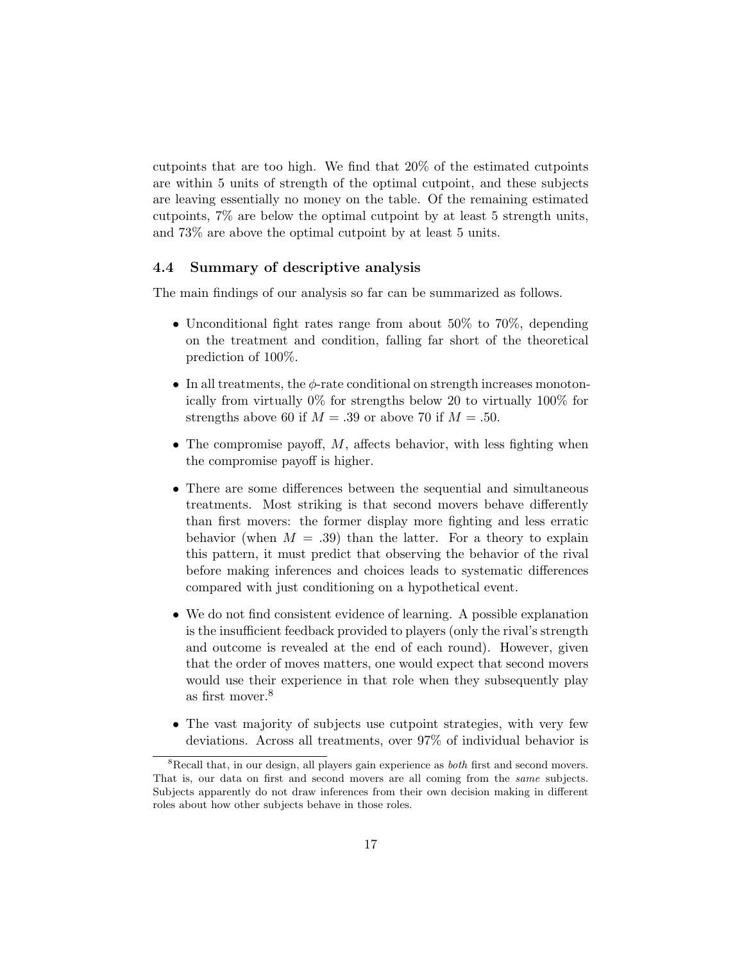cutpoints that are too high. We find that 20% of the estimated cutpoints are within 5 units of strength of the optimal cutpoint, and these subjects are leaving essentially no money on the table. Of the remaining estimated cutpoints, 7% are below the optimal cutpoint by at least 5 strength units, and 73% are above the optimal cutpoint by at least 5 units.

### 4.4 Summary of descriptive analysis

The main findings of our analysis so far can be summarized as follows.

- Unconditional fight rates range from about  $50\%$  to  $70\%$ , depending on the treatment and condition, falling far short of the theoretical prediction of 100%.
- In all treatments, the  $\phi$ -rate conditional on strength increases monotonically from virtually 0% for strengths below 20 to virtually 100% for strengths above 60 if  $M = .39$  or above 70 if  $M = .50$ .
- The compromise payoff,  $M$ , affects behavior, with less fighting when the compromise payoff is higher.
- There are some differences between the sequential and simultaneous treatments. Most striking is that second movers behave differently than first movers: the former display more fighting and less erratic behavior (when  $M = .39$ ) than the latter. For a theory to explain this pattern, it must predict that observing the behavior of the rival before making inferences and choices leads to systematic differences compared with just conditioning on a hypothetical event.
- We do not find consistent evidence of learning. A possible explanation is the insufficient feedback provided to players (only the rival's strength and outcome is revealed at the end of each round). However, given that the order of moves matters, one would expect that second movers would use their experience in that role when they subsequently play as first mover.<sup>8</sup>
- The vast majority of subjects use cutpoint strategies, with very few deviations. Across all treatments, over 97% of individual behavior is

<sup>&</sup>lt;sup>8</sup>Recall that, in our design, all players gain experience as *both* first and second movers. That is, our data on first and second movers are all coming from the same subjects. Subjects apparently do not draw inferences from their own decision making in different roles about how other subjects behave in those roles.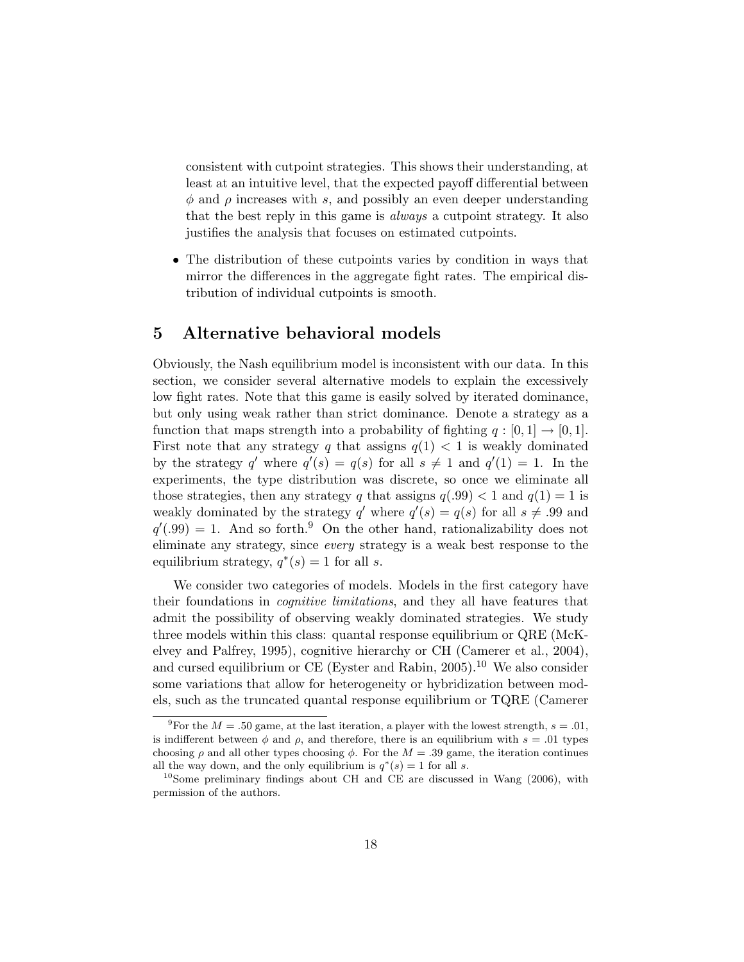consistent with cutpoint strategies. This shows their understanding, at least at an intuitive level, that the expected payoff differential between  $\phi$  and  $\rho$  increases with s, and possibly an even deeper understanding that the best reply in this game is always a cutpoint strategy. It also justifies the analysis that focuses on estimated cutpoints.

• The distribution of these cutpoints varies by condition in ways that mirror the differences in the aggregate fight rates. The empirical distribution of individual cutpoints is smooth.

### 5 Alternative behavioral models

Obviously, the Nash equilibrium model is inconsistent with our data. In this section, we consider several alternative models to explain the excessively low fight rates. Note that this game is easily solved by iterated dominance, but only using weak rather than strict dominance. Denote a strategy as a function that maps strength into a probability of fighting  $q : [0, 1] \rightarrow [0, 1]$ . First note that any strategy q that assigns  $q(1) < 1$  is weakly dominated by the strategy q' where  $q'(s) = q(s)$  for all  $s \neq 1$  and  $q'(1) = 1$ . In the experiments, the type distribution was discrete, so once we eliminate all those strategies, then any strategy q that assigns  $q(.99) < 1$  and  $q(1) = 1$  is weakly dominated by the strategy  $q'$  where  $q'(s) = q(s)$  for all  $s \neq .99$  and  $q'(0.99) = 1$ . And so forth.<sup>9</sup> On the other hand, rationalizability does not eliminate any strategy, since every strategy is a weak best response to the equilibrium strategy,  $q^*(s) = 1$  for all s.

We consider two categories of models. Models in the first category have their foundations in *cognitive limitations*, and they all have features that admit the possibility of observing weakly dominated strategies. We study three models within this class: quantal response equilibrium or QRE (McKelvey and Palfrey, 1995), cognitive hierarchy or CH (Camerer et al., 2004), and cursed equilibrium or CE (Eyster and Rabin, 2005).<sup>10</sup> We also consider some variations that allow for heterogeneity or hybridization between models, such as the truncated quantal response equilibrium or TQRE (Camerer

<sup>&</sup>lt;sup>9</sup>For the  $M = .50$  game, at the last iteration, a player with the lowest strength,  $s = .01$ , is indifferent between  $\phi$  and  $\rho$ , and therefore, there is an equilibrium with  $s = .01$  types choosing  $\rho$  and all other types choosing  $\phi$ . For the  $M = .39$  game, the iteration continues all the way down, and the only equilibrium is  $q^*(s) = 1$  for all s.

 $10^{\circ}$ Some preliminary findings about CH and CE are discussed in Wang (2006), with permission of the authors.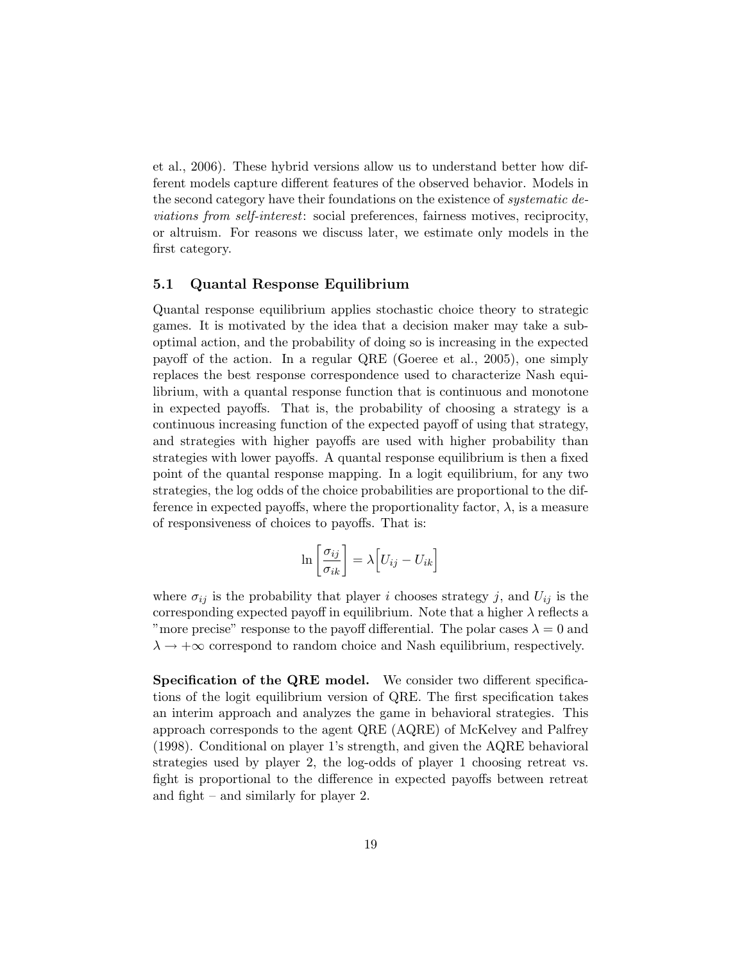et al., 2006). These hybrid versions allow us to understand better how different models capture different features of the observed behavior. Models in the second category have their foundations on the existence of *systematic de*viations from self-interest: social preferences, fairness motives, reciprocity, or altruism. For reasons we discuss later, we estimate only models in the first category.

### 5.1 Quantal Response Equilibrium

Quantal response equilibrium applies stochastic choice theory to strategic games. It is motivated by the idea that a decision maker may take a suboptimal action, and the probability of doing so is increasing in the expected payoff of the action. In a regular QRE (Goeree et al., 2005), one simply replaces the best response correspondence used to characterize Nash equilibrium, with a quantal response function that is continuous and monotone in expected payoffs. That is, the probability of choosing a strategy is a continuous increasing function of the expected payoff of using that strategy, and strategies with higher payoffs are used with higher probability than strategies with lower payoffs. A quantal response equilibrium is then a fixed point of the quantal response mapping. In a logit equilibrium, for any two strategies, the log odds of the choice probabilities are proportional to the difference in expected payoffs, where the proportionality factor,  $\lambda$ , is a measure of responsiveness of choices to payoffs. That is:

$$
\ln\left[\frac{\sigma_{ij}}{\sigma_{ik}}\right] = \lambda \left[U_{ij} - U_{ik}\right]
$$

where  $\sigma_{ij}$  is the probability that player i chooses strategy j, and  $U_{ij}$  is the corresponding expected payoff in equilibrium. Note that a higher  $\lambda$  reflects a "more precise" response to the payoff differential. The polar cases  $\lambda = 0$  and  $\lambda \rightarrow +\infty$  correspond to random choice and Nash equilibrium, respectively.

Specification of the QRE model. We consider two different specifications of the logit equilibrium version of QRE. The first specification takes an interim approach and analyzes the game in behavioral strategies. This approach corresponds to the agent QRE (AQRE) of McKelvey and Palfrey (1998). Conditional on player 1's strength, and given the AQRE behavioral strategies used by player 2, the log-odds of player 1 choosing retreat vs. fight is proportional to the difference in expected payoffs between retreat and fight – and similarly for player 2.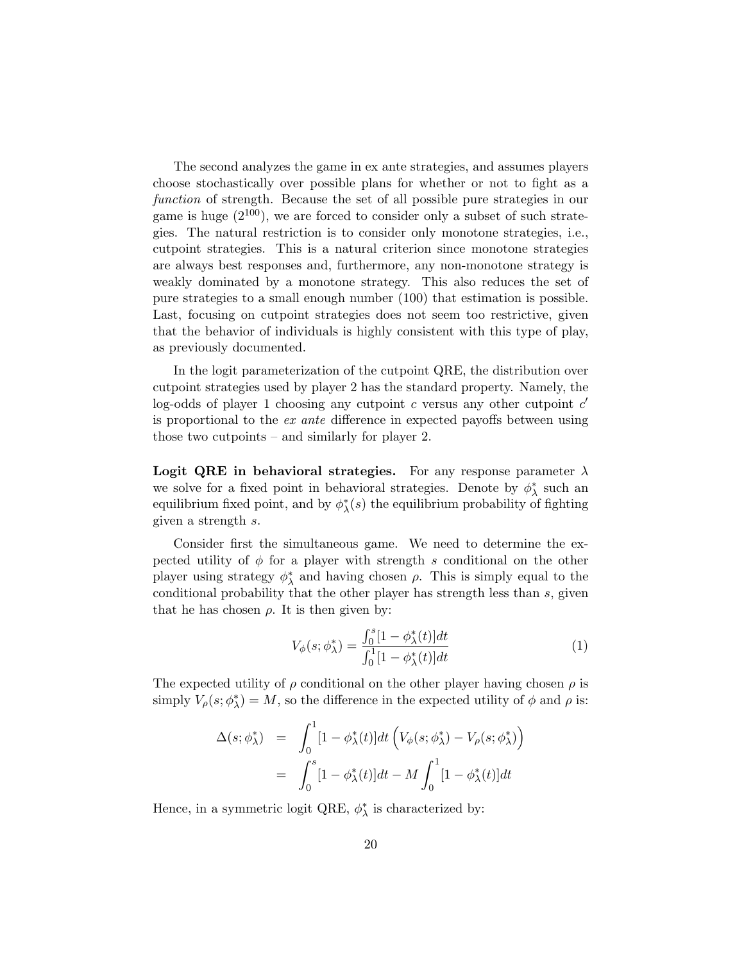The second analyzes the game in ex ante strategies, and assumes players choose stochastically over possible plans for whether or not to fight as a function of strength. Because the set of all possible pure strategies in our game is huge  $(2^{100})$ , we are forced to consider only a subset of such strategies. The natural restriction is to consider only monotone strategies, i.e., cutpoint strategies. This is a natural criterion since monotone strategies are always best responses and, furthermore, any non-monotone strategy is weakly dominated by a monotone strategy. This also reduces the set of pure strategies to a small enough number (100) that estimation is possible. Last, focusing on cutpoint strategies does not seem too restrictive, given that the behavior of individuals is highly consistent with this type of play, as previously documented.

In the logit parameterization of the cutpoint QRE, the distribution over cutpoint strategies used by player 2 has the standard property. Namely, the log-odds of player 1 choosing any cutpoint  $c$  versus any other cutpoint  $c'$ is proportional to the ex ante difference in expected payoffs between using those two cutpoints – and similarly for player 2.

**Logit QRE** in behavioral strategies. For any response parameter  $\lambda$ we solve for a fixed point in behavioral strategies. Denote by  $\phi_{\lambda}^{*}$  such an equilibrium fixed point, and by  $\phi_{\lambda}^{*}(s)$  the equilibrium probability of fighting given a strength s.

Consider first the simultaneous game. We need to determine the expected utility of  $\phi$  for a player with strength s conditional on the other player using strategy  $\phi_{\lambda}^*$  and having chosen  $\rho$ . This is simply equal to the conditional probability that the other player has strength less than s, given that he has chosen  $\rho$ . It is then given by:

$$
V_{\phi}(s; \phi_{\lambda}^{*}) = \frac{\int_{0}^{s} [1 - \phi_{\lambda}^{*}(t)] dt}{\int_{0}^{1} [1 - \phi_{\lambda}^{*}(t)] dt}
$$
(1)

The expected utility of  $\rho$  conditional on the other player having chosen  $\rho$  is simply  $V_{\rho}(s; \phi_{\lambda}^{*}) = M$ , so the difference in the expected utility of  $\phi$  and  $\rho$  is:

$$
\Delta(s; \phi_{\lambda}^*) = \int_0^1 [1 - \phi_{\lambda}^*(t)] dt \left( V_{\phi}(s; \phi_{\lambda}^*) - V_{\rho}(s; \phi_{\lambda}^*) \right)
$$
  
= 
$$
\int_0^s [1 - \phi_{\lambda}^*(t)] dt - M \int_0^1 [1 - \phi_{\lambda}^*(t)] dt
$$

Hence, in a symmetric logit QRE,  $\phi_{\lambda}^*$  is characterized by: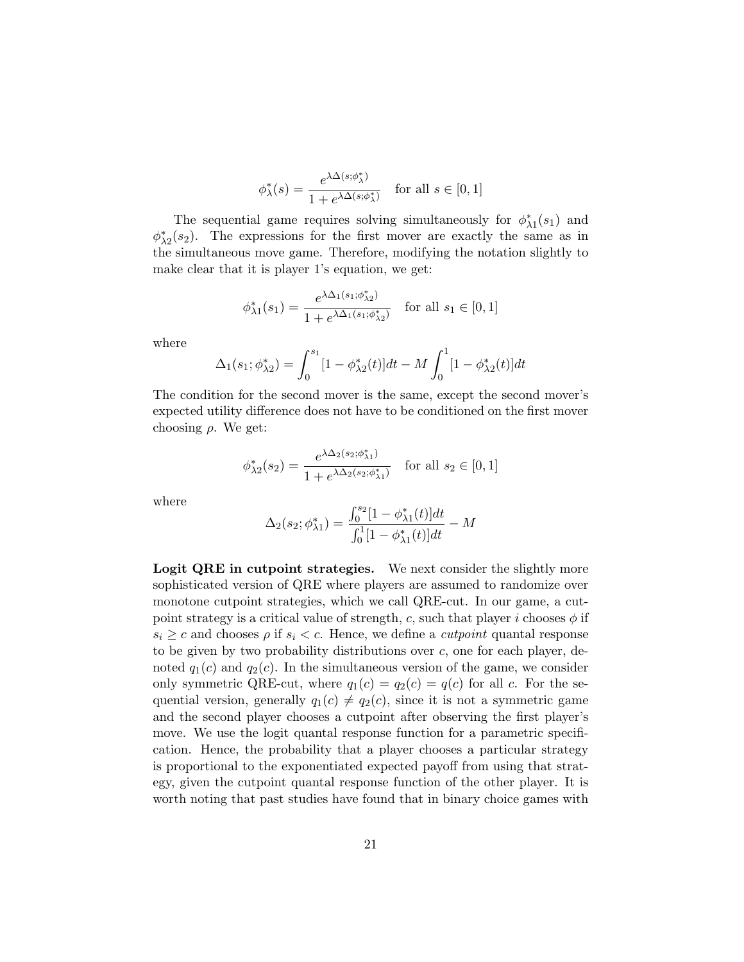$$
\phi^*_\lambda(s) = \frac{e^{\lambda \Delta(s;\phi^*_\lambda)}}{1 + e^{\lambda \Delta(s;\phi^*_\lambda)}} \quad \text{for all } s \in [0,1]
$$

The sequential game requires solving simultaneously for  $\phi^*_{\lambda 1}(s_1)$  and  $\phi_{\lambda 2}^*(s_2)$ . The expressions for the first mover are exactly the same as in the simultaneous move game. Therefore, modifying the notation slightly to make clear that it is player 1's equation, we get:

$$
\phi_{\lambda 1}^*(s_1) = \frac{e^{\lambda \Delta_1(s_1; \phi_{\lambda 2}^*)}}{1 + e^{\lambda \Delta_1(s_1; \phi_{\lambda 2}^*)}} \quad \text{for all } s_1 \in [0, 1]
$$

where

$$
\Delta_1(s_1; \phi_{\lambda 2}^*) = \int_0^{s_1} [1 - \phi_{\lambda 2}^*(t)] dt - M \int_0^1 [1 - \phi_{\lambda 2}^*(t)] dt
$$

The condition for the second mover is the same, except the second mover's expected utility difference does not have to be conditioned on the first mover choosing  $\rho$ . We get:

$$
\phi_{\lambda 2}^*(s_2) = \frac{e^{\lambda \Delta_2(s_2; \phi_{\lambda 1}^*)}}{1 + e^{\lambda \Delta_2(s_2; \phi_{\lambda 1}^*)}} \text{ for all } s_2 \in [0, 1]
$$

where

$$
\Delta_2(s_2; \phi^*_{\lambda 1}) = \frac{\int_0^{s_2} [1 - \phi^*_{\lambda 1}(t)] dt}{\int_0^1 [1 - \phi^*_{\lambda 1}(t)] dt} - M
$$

Logit QRE in cutpoint strategies. We next consider the slightly more sophisticated version of QRE where players are assumed to randomize over monotone cutpoint strategies, which we call QRE-cut. In our game, a cutpoint strategy is a critical value of strength, c, such that player i chooses  $\phi$  if  $s_i \geq c$  and chooses  $\rho$  if  $s_i < c$ . Hence, we define a *cutpoint* quantal response to be given by two probability distributions over  $c$ , one for each player, denoted  $q_1(c)$  and  $q_2(c)$ . In the simultaneous version of the game, we consider only symmetric QRE-cut, where  $q_1(c) = q_2(c) = q(c)$  for all c. For the sequential version, generally  $q_1(c) \neq q_2(c)$ , since it is not a symmetric game and the second player chooses a cutpoint after observing the first player's move. We use the logit quantal response function for a parametric specification. Hence, the probability that a player chooses a particular strategy is proportional to the exponentiated expected payoff from using that strategy, given the cutpoint quantal response function of the other player. It is worth noting that past studies have found that in binary choice games with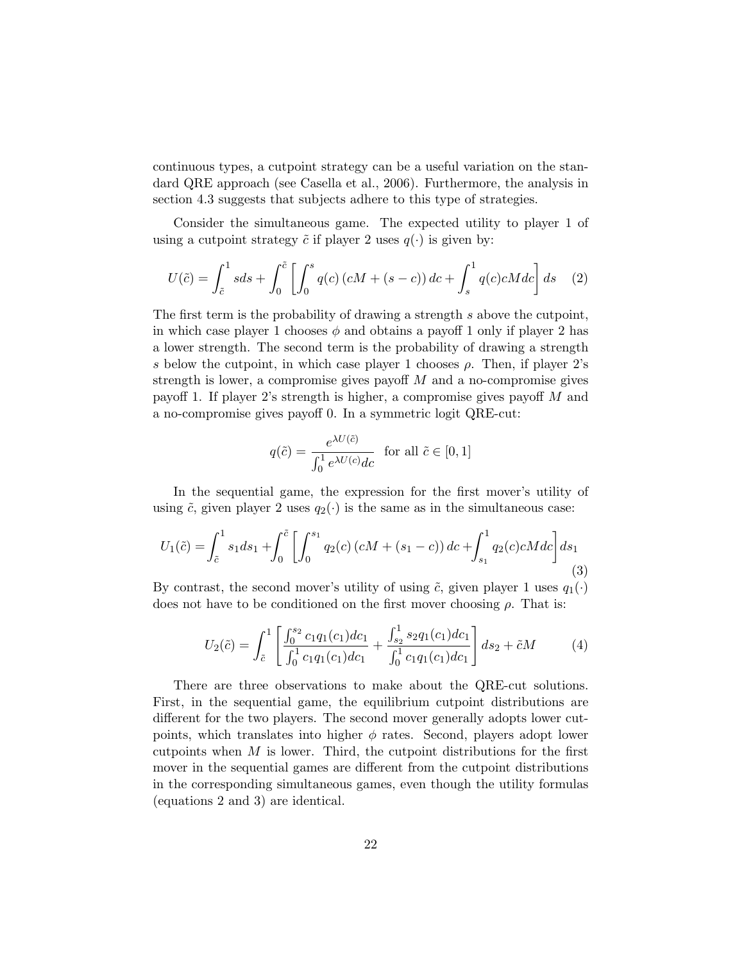continuous types, a cutpoint strategy can be a useful variation on the standard QRE approach (see Casella et al., 2006). Furthermore, the analysis in section 4.3 suggests that subjects adhere to this type of strategies.

Consider the simultaneous game. The expected utility to player 1 of using a cutpoint strategy  $\tilde{c}$  if player 2 uses  $q(\cdot)$  is given by:

$$
U(\tilde{c}) = \int_{\tilde{c}}^{1} sds + \int_{0}^{\tilde{c}} \left[ \int_{0}^{s} q(c) \left( cM + (s - c) \right) dc + \int_{s}^{1} q(c)cMd c \right] ds \quad (2)
$$

The first term is the probability of drawing a strength s above the cutpoint, in which case player 1 chooses  $\phi$  and obtains a payoff 1 only if player 2 has a lower strength. The second term is the probability of drawing a strength s below the cutpoint, in which case player 1 chooses  $\rho$ . Then, if player 2's strength is lower, a compromise gives payoff  $M$  and a no-compromise gives payoff 1. If player 2's strength is higher, a compromise gives payoff M and a no-compromise gives payoff 0. In a symmetric logit QRE-cut:

$$
q(\tilde{c}) = \frac{e^{\lambda U(\tilde{c})}}{\int_0^1 e^{\lambda U(c)} dc} \text{ for all } \tilde{c} \in [0, 1]
$$

In the sequential game, the expression for the first mover's utility of using  $\tilde{c}$ , given player 2 uses  $q_2(\cdot)$  is the same as in the simultaneous case:

$$
U_1(\tilde{c}) = \int_{\tilde{c}}^1 s_1 ds_1 + \int_0^{\tilde{c}} \left[ \int_0^{s_1} q_2(c) \left( cM + (s_1 - c) \right) dc + \int_{s_1}^1 q_2(c)cMd c \right] ds_1 \tag{3}
$$

By contrast, the second mover's utility of using  $\tilde{c}$ , given player 1 uses  $q_1(\cdot)$ does not have to be conditioned on the first mover choosing  $\rho$ . That is:

$$
U_2(\tilde{c}) = \int_{\tilde{c}}^1 \left[ \frac{\int_0^{s_2} c_1 q_1(c_1) dc_1}{\int_0^1 c_1 q_1(c_1) dc_1} + \frac{\int_{s_2}^1 s_2 q_1(c_1) dc_1}{\int_0^1 c_1 q_1(c_1) dc_1} \right] ds_2 + \tilde{c}M
$$
 (4)

There are three observations to make about the QRE-cut solutions. First, in the sequential game, the equilibrium cutpoint distributions are different for the two players. The second mover generally adopts lower cutpoints, which translates into higher  $\phi$  rates. Second, players adopt lower cutpoints when  $M$  is lower. Third, the cutpoint distributions for the first mover in the sequential games are different from the cutpoint distributions in the corresponding simultaneous games, even though the utility formulas (equations 2 and 3) are identical.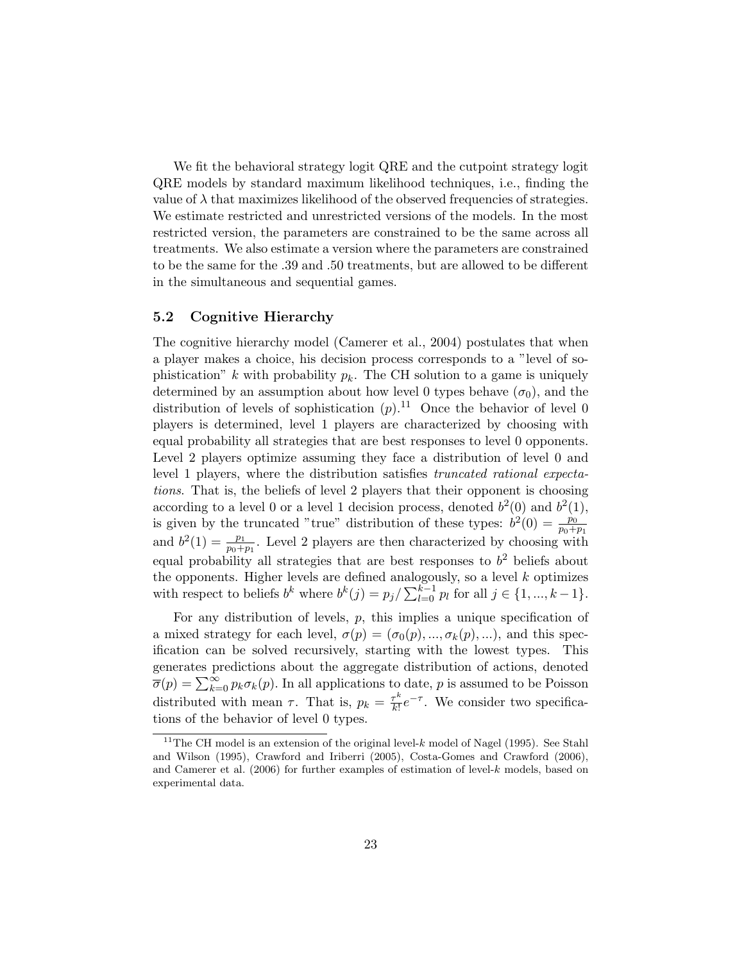We fit the behavioral strategy logit QRE and the cutpoint strategy logit QRE models by standard maximum likelihood techniques, i.e., finding the value of  $\lambda$  that maximizes likelihood of the observed frequencies of strategies. We estimate restricted and unrestricted versions of the models. In the most restricted version, the parameters are constrained to be the same across all treatments. We also estimate a version where the parameters are constrained to be the same for the .39 and .50 treatments, but are allowed to be different in the simultaneous and sequential games.

### 5.2 Cognitive Hierarchy

The cognitive hierarchy model (Camerer et al., 2004) postulates that when a player makes a choice, his decision process corresponds to a "level of sophistication" k with probability  $p_k$ . The CH solution to a game is uniquely determined by an assumption about how level 0 types behave  $(\sigma_0)$ , and the distribution of levels of sophistication  $(p)$ .<sup>11</sup> Once the behavior of level 0 players is determined, level 1 players are characterized by choosing with equal probability all strategies that are best responses to level 0 opponents. Level 2 players optimize assuming they face a distribution of level 0 and level 1 players, where the distribution satisfies truncated rational expectations. That is, the beliefs of level 2 players that their opponent is choosing according to a level 0 or a level 1 decision process, denoted  $b^2(0)$  and  $b^2(1)$ , is given by the truncated "true" distribution of these types:  $\dot{b}^2(0) = \frac{p_0}{p_0+p_1}$ and  $b^2(1) = \frac{p_1}{p_0+p_1}$ . Level 2 players are then characterized by choosing with equal probability all strategies that are best responses to  $b<sup>2</sup>$  beliefs about the opponents. Higher levels are defined analogously, so a level  $k$  optimizes with respect to beliefs  $b^k$  where  $b^k(j) = p_j / \sum_{l=0}^{k-1} p_l$  for all  $j \in \{1, ..., k-1\}$ .

For any distribution of levels,  $p$ , this implies a unique specification of a mixed strategy for each level,  $\sigma(p) = (\sigma_0(p), ..., \sigma_k(p), ...)$ , and this specification can be solved recursively, starting with the lowest types. This generates predictions about the aggregate distribution of actions, denoted  $\overline{\sigma}(p) = \sum_{k=0}^{\infty} p_k \sigma_k(p)$ . In all applications to date, p is assumed to be Poisson distributed with mean  $\tau$ . That is,  $p_k = \frac{\tau^k}{k!}$  $\frac{\tau^k}{k!}e^{-\tau}$ . We consider two specifications of the behavior of level 0 types.

<sup>&</sup>lt;sup>11</sup>The CH model is an extension of the original level- $k$  model of Nagel (1995). See Stahl and Wilson (1995), Crawford and Iriberri (2005), Costa-Gomes and Crawford (2006), and Camerer et al. (2006) for further examples of estimation of level-k models, based on experimental data.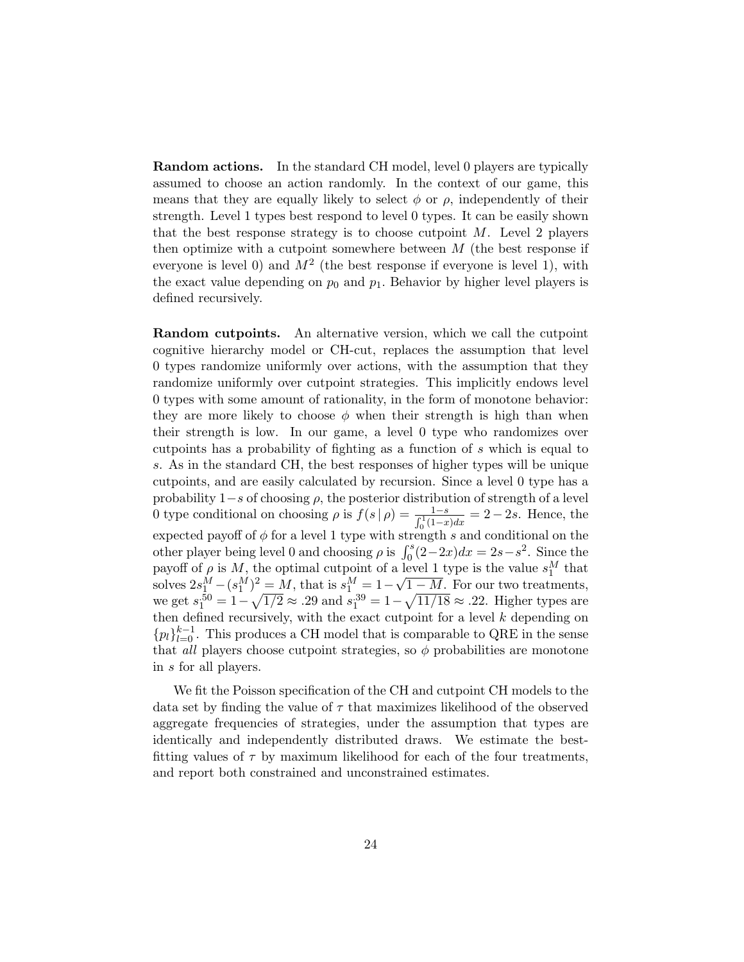Random actions. In the standard CH model, level 0 players are typically assumed to choose an action randomly. In the context of our game, this means that they are equally likely to select  $\phi$  or  $\rho$ , independently of their strength. Level 1 types best respond to level 0 types. It can be easily shown that the best response strategy is to choose cutpoint  $M$ . Level 2 players then optimize with a cutpoint somewhere between  $M$  (the best response if everyone is level 0) and  $M^2$  (the best response if everyone is level 1), with the exact value depending on  $p_0$  and  $p_1$ . Behavior by higher level players is defined recursively.

Random cutpoints. An alternative version, which we call the cutpoint cognitive hierarchy model or CH-cut, replaces the assumption that level 0 types randomize uniformly over actions, with the assumption that they randomize uniformly over cutpoint strategies. This implicitly endows level 0 types with some amount of rationality, in the form of monotone behavior: they are more likely to choose  $\phi$  when their strength is high than when their strength is low. In our game, a level 0 type who randomizes over cutpoints has a probability of fighting as a function of s which is equal to s. As in the standard CH, the best responses of higher types will be unique cutpoints, and are easily calculated by recursion. Since a level 0 type has a probability  $1-s$  of choosing  $\rho$ , the posterior distribution of strength of a level 0 type conditional on choosing  $\rho$  is  $f(s | \rho) = \frac{1-s}{\int_0^1 (1-x) dx} = 2 - 2s$ . Hence, the expected payoff of  $\phi$  for a level 1 type with strength s and conditional on the other player being level 0 and choosing  $\rho$  is  $\int_0^s (2-2x)dx = 2s-s^2$ . Since the but payer being level 0 and choosing  $\rho$  is  $J_0 (2 - 2x) dx = 2s - s$ . Since the payoff of  $\rho$  is  $M$ , the optimal cutpoint of a level 1 type is the value  $s_1^M$  that solves  $2s_1^M - (s_1^M)^2 = M$ , that is  $s_1^M = 1 -$ √  $1 - M$ . For our two treatments, we get  $s_1^{.50} = 1 - \sqrt{1/2} \approx .29$  and  $s_1^{.39} = 1 - \sqrt{11/18} \approx .22$ . Higher types are then defined recursively, with the exact cutpoint for a level  $k$  depending on  ${p_l}_{l=0}^{k-1}$ . This produces a CH model that is comparable to QRE in the sense that *all* players choose cutpoint strategies, so  $\phi$  probabilities are monotone in s for all players.

We fit the Poisson specification of the CH and cutpoint CH models to the data set by finding the value of  $\tau$  that maximizes likelihood of the observed aggregate frequencies of strategies, under the assumption that types are identically and independently distributed draws. We estimate the bestfitting values of  $\tau$  by maximum likelihood for each of the four treatments, and report both constrained and unconstrained estimates.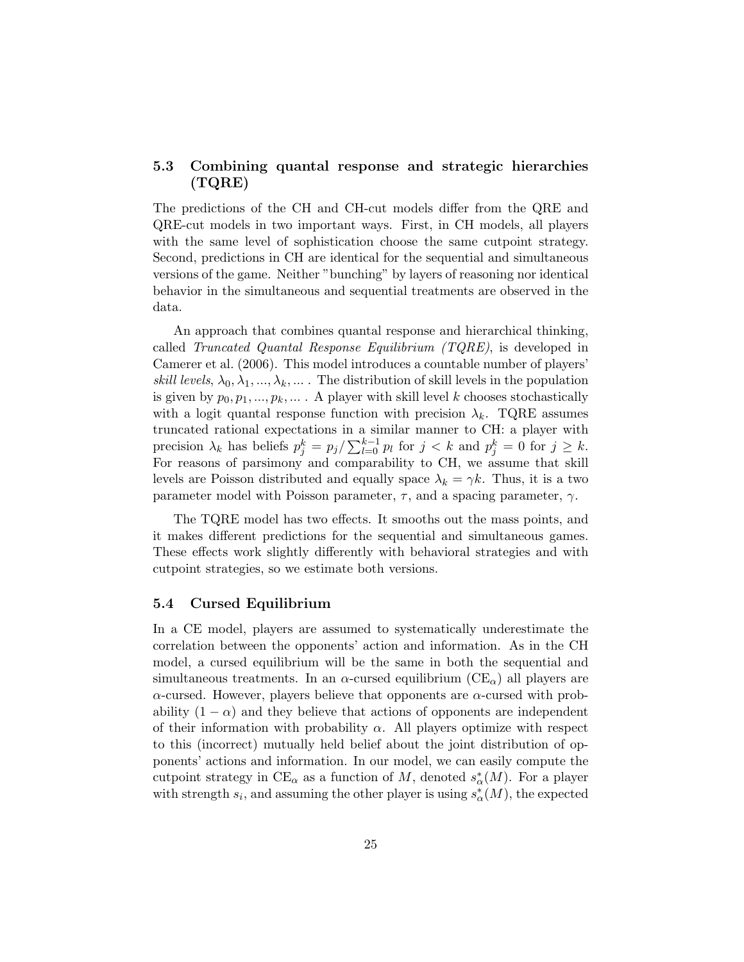### 5.3 Combining quantal response and strategic hierarchies (TQRE)

The predictions of the CH and CH-cut models differ from the QRE and QRE-cut models in two important ways. First, in CH models, all players with the same level of sophistication choose the same cutpoint strategy. Second, predictions in CH are identical for the sequential and simultaneous versions of the game. Neither "bunching" by layers of reasoning nor identical behavior in the simultaneous and sequential treatments are observed in the data.

An approach that combines quantal response and hierarchical thinking, called Truncated Quantal Response Equilibrium (TQRE), is developed in Camerer et al. (2006). This model introduces a countable number of players' skill levels,  $\lambda_0, \lambda_1, ..., \lambda_k, ...$ . The distribution of skill levels in the population is given by  $p_0, p_1, ..., p_k, ...$ . A player with skill level k chooses stochastically with a logit quantal response function with precision  $\lambda_k$ . TQRE assumes truncated rational expectations in a similar manner to CH: a player with precision  $\lambda_k$  has beliefs  $p_j^k = p_j / \sum_{l=0}^{k-1} p_l$  for  $j < k$  and  $p_j^k = 0$  for  $j \ge k$ . For reasons of parsimony and comparability to CH, we assume that skill levels are Poisson distributed and equally space  $\lambda_k = \gamma k$ . Thus, it is a two parameter model with Poisson parameter,  $\tau$ , and a spacing parameter,  $\gamma$ .

The TQRE model has two effects. It smooths out the mass points, and it makes different predictions for the sequential and simultaneous games. These effects work slightly differently with behavioral strategies and with cutpoint strategies, so we estimate both versions.

### 5.4 Cursed Equilibrium

In a CE model, players are assumed to systematically underestimate the correlation between the opponents' action and information. As in the CH model, a cursed equilibrium will be the same in both the sequential and simultaneous treatments. In an  $\alpha$ -cursed equilibrium (CE<sub> $\alpha$ </sub>) all players are  $\alpha$ -cursed. However, players believe that opponents are  $\alpha$ -cursed with probability  $(1 - \alpha)$  and they believe that actions of opponents are independent of their information with probability  $\alpha$ . All players optimize with respect to this (incorrect) mutually held belief about the joint distribution of opponents' actions and information. In our model, we can easily compute the cutpoint strategy in  $CE_{\alpha}$  as a function of M, denoted  $s^*_{\alpha}(M)$ . For a player with strength  $s_i$ , and assuming the other player is using  $s^*_{\alpha}(M)$ , the expected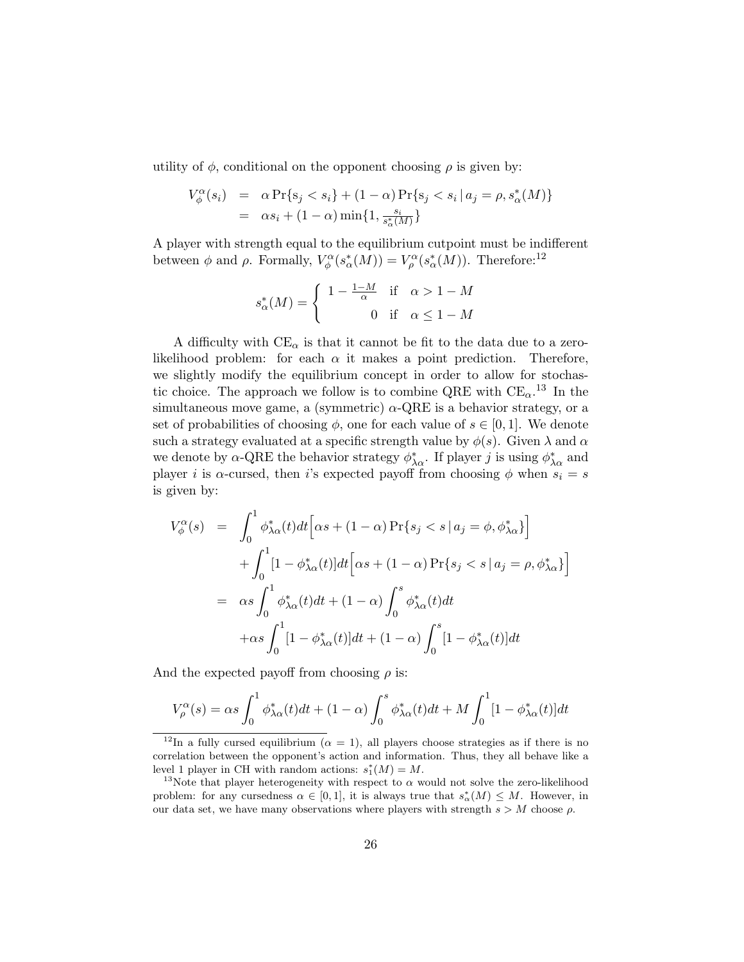utility of  $\phi$ , conditional on the opponent choosing  $\rho$  is given by:

$$
V^{\alpha}_{\phi}(s_i) = \alpha \Pr\{s_j < s_i\} + (1 - \alpha) \Pr\{s_j < s_i \mid a_j = \rho, s^*_{\alpha}(M)\}
$$
\n
$$
= \alpha s_i + (1 - \alpha) \min\{1, \frac{s_i}{s^*_{\alpha}(M)}\}
$$

A player with strength equal to the equilibrium cutpoint must be indifferent between  $\phi$  and  $\rho$ . Formally,  $V_\phi^\alpha(s^*_\alpha(M)) = V_\rho^\alpha(s^*_\alpha(M))$ . Therefore:<sup>12</sup>

$$
s^*_\alpha(M) = \left\{ \begin{array}{rcl} 1 - \frac{1-M}{\alpha} & \mbox{if} & \alpha > 1-M \\ & & \\ 0 & \mbox{if} & \alpha \leq 1-M \end{array} \right.
$$

A difficulty with  $CE_{\alpha}$  is that it cannot be fit to the data due to a zerolikelihood problem: for each  $\alpha$  it makes a point prediction. Therefore, we slightly modify the equilibrium concept in order to allow for stochastic choice. The approach we follow is to combine QRE with  $CE_{\alpha}$ <sup>13</sup>. In the simultaneous move game, a (symmetric)  $\alpha$ -QRE is a behavior strategy, or a set of probabilities of choosing  $\phi$ , one for each value of  $s \in [0,1]$ . We denote such a strategy evaluated at a specific strength value by  $\phi(s)$ . Given  $\lambda$  and  $\alpha$ we denote by  $\alpha$ -QRE the behavior strategy  $\phi_{\lambda\alpha}^*$ . If player j is using  $\phi_{\lambda\alpha}^*$  and player i is  $\alpha$ -cursed, then i's expected payoff from choosing  $\phi$  when  $s_i = s$ is given by:

$$
V_{\phi}^{\alpha}(s) = \int_{0}^{1} \phi_{\lambda\alpha}^{*}(t)dt \Big[ \alpha s + (1 - \alpha) \Pr\{s_{j} < s \mid a_{j} = \phi, \phi_{\lambda\alpha}^{*}\} \Big] + \int_{0}^{1} [1 - \phi_{\lambda\alpha}^{*}(t)]dt \Big[ \alpha s + (1 - \alpha) \Pr\{s_{j} < s \mid a_{j} = \rho, \phi_{\lambda\alpha}^{*}\} \Big] = \alpha s \int_{0}^{1} \phi_{\lambda\alpha}^{*}(t)dt + (1 - \alpha) \int_{0}^{s} \phi_{\lambda\alpha}^{*}(t)dt + \alpha s \int_{0}^{1} [1 - \phi_{\lambda\alpha}^{*}(t)]dt + (1 - \alpha) \int_{0}^{s} [1 - \phi_{\lambda\alpha}^{*}(t)]dt
$$

And the expected payoff from choosing  $\rho$  is:

$$
V_{\rho}^{\alpha}(s) = \alpha s \int_0^1 \phi_{\lambda \alpha}^*(t)dt + (1 - \alpha) \int_0^s \phi_{\lambda \alpha}^*(t)dt + M \int_0^1 [1 - \phi_{\lambda \alpha}^*(t)]dt
$$

<sup>&</sup>lt;sup>12</sup>In a fully cursed equilibrium ( $\alpha = 1$ ), all players choose strategies as if there is no correlation between the opponent's action and information. Thus, they all behave like a level 1 player in CH with random actions:  $s_1^*(M) = M$ .

<sup>&</sup>lt;sup>13</sup>Note that player heterogeneity with respect to  $\alpha$  would not solve the zero-likelihood problem: for any cursedness  $\alpha \in [0,1]$ , it is always true that  $s^*_{\alpha}(M) \leq M$ . However, in our data set, we have many observations where players with strength  $s > M$  choose  $\rho$ .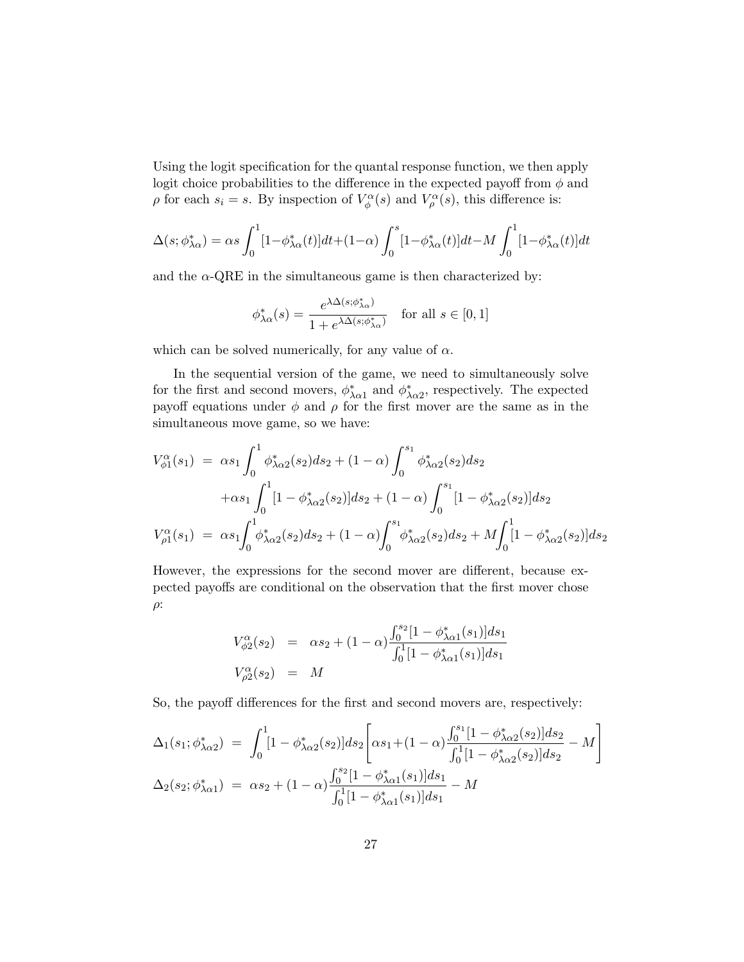Using the logit specification for the quantal response function, we then apply logit choice probabilities to the difference in the expected payoff from  $\phi$  and  $\rho$  for each  $s_i = s$ . By inspection of  $V^{\alpha}_{\phi}(s)$  and  $V^{\alpha}_{\rho}(s)$ , this difference is:

$$
\Delta(s;\phi_{\lambda\alpha}^*) = \alpha s \int_0^1 [1-\phi_{\lambda\alpha}^*(t)]dt + (1-\alpha) \int_0^s [1-\phi_{\lambda\alpha}^*(t)]dt - M \int_0^1 [1-\phi_{\lambda\alpha}^*(t)]dt
$$

and the  $\alpha$ -QRE in the simultaneous game is then characterized by:

$$
\phi_{\lambda\alpha}^*(s) = \frac{e^{\lambda\Delta(s;\phi_{\lambda\alpha}^*)}}{1 + e^{\lambda\Delta(s;\phi_{\lambda\alpha}^*)}} \quad \text{for all } s \in [0,1]
$$

which can be solved numerically, for any value of  $\alpha$ .

In the sequential version of the game, we need to simultaneously solve for the first and second movers,  $\phi_{\lambda\alpha1}^*$  and  $\phi_{\lambda\alpha2}^*$ , respectively. The expected payoff equations under  $\phi$  and  $\rho$  for the first mover are the same as in the simultaneous move game, so we have:

$$
V_{\phi1}^{\alpha}(s_1) = \alpha s_1 \int_0^1 \phi_{\lambda \alpha 2}^*(s_2) ds_2 + (1 - \alpha) \int_0^{s_1} \phi_{\lambda \alpha 2}^*(s_2) ds_2
$$
  
+
$$
\alpha s_1 \int_0^1 [1 - \phi_{\lambda \alpha 2}^*(s_2)] ds_2 + (1 - \alpha) \int_0^{s_1} [1 - \phi_{\lambda \alpha 2}^*(s_2)] ds_2
$$
  

$$
V_{\rho 1}^{\alpha}(s_1) = \alpha s_1 \int_0^1 \phi_{\lambda \alpha 2}^*(s_2) ds_2 + (1 - \alpha) \int_0^{s_1} \phi_{\lambda \alpha 2}^*(s_2) ds_2 + M \int_0^1 [1 - \phi_{\lambda \alpha 2}^*(s_2)] ds_2
$$

However, the expressions for the second mover are different, because expected payoffs are conditional on the observation that the first mover chose  $\rho$ :

$$
V_{\phi 2}^{\alpha}(s_2) = \alpha s_2 + (1 - \alpha) \frac{\int_0^{s_2} [1 - \phi_{\lambda \alpha 1}^*(s_1)] ds_1}{\int_0^{1} [1 - \phi_{\lambda \alpha 1}^*(s_1)] ds_1}
$$
  

$$
V_{\rho 2}^{\alpha}(s_2) = M
$$

So, the payoff differences for the first and second movers are, respectively:

$$
\Delta_1(s_1; \phi_{\lambda \alpha 2}^*) = \int_0^1 [1 - \phi_{\lambda \alpha 2}^*(s_2)] ds_2 \left[ \alpha s_1 + (1 - \alpha) \frac{\int_0^{s_1} [1 - \phi_{\lambda \alpha 2}^*(s_2)] ds_2}{\int_0^1 [1 - \phi_{\lambda \alpha 2}^*(s_2)] ds_2} - M \right]
$$
  

$$
\Delta_2(s_2; \phi_{\lambda \alpha 1}^*) = \alpha s_2 + (1 - \alpha) \frac{\int_0^{s_2} [1 - \phi_{\lambda \alpha 1}^*(s_1)] ds_1}{\int_0^1 [1 - \phi_{\lambda \alpha 1}^*(s_1)] ds_1} - M
$$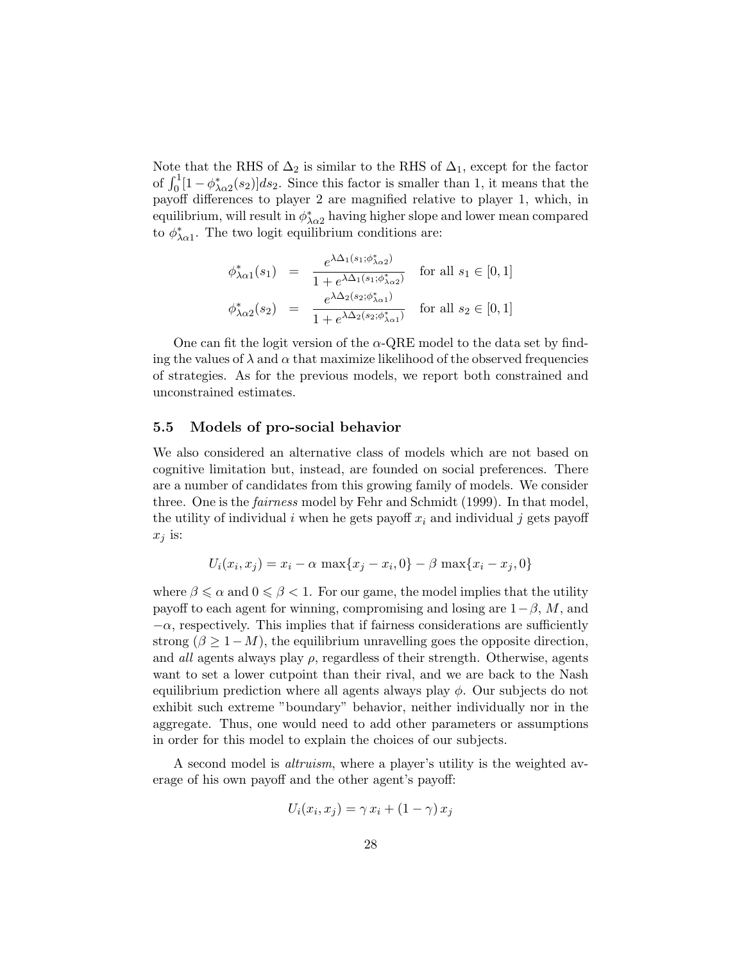Note that the RHS of  $\Delta_2$  is similar to the RHS of  $\Delta_1$ , except for the factor of  $\int_0^1 [1 - \phi_{\lambda \alpha 2}^*(s_2)] ds_2$ . Since this factor is smaller than 1, it means that the payoff differences to player 2 are magnified relative to player 1, which, in equilibrium, will result in  $\phi_{\lambda\alpha2}^*$  having higher slope and lower mean compared to  $\phi_{\lambda\alpha 1}^*$ . The two logit equilibrium conditions are:

$$
\phi_{\lambda\alpha1}^*(s_1) = \frac{e^{\lambda\Delta_1(s_1;\phi_{\lambda\alpha2}^*)}}{1 + e^{\lambda\Delta_1(s_1;\phi_{\lambda\alpha2}^*)}} \text{ for all } s_1 \in [0,1]
$$

$$
\phi_{\lambda\alpha2}^*(s_2) = \frac{e^{\lambda\Delta_2(s_2;\phi_{\lambda\alpha1}^*)}}{1 + e^{\lambda\Delta_2(s_2;\phi_{\lambda\alpha1}^*)}} \text{ for all } s_2 \in [0,1]
$$

One can fit the logit version of the  $\alpha$ -QRE model to the data set by finding the values of  $\lambda$  and  $\alpha$  that maximize likelihood of the observed frequencies of strategies. As for the previous models, we report both constrained and unconstrained estimates.

### 5.5 Models of pro-social behavior

We also considered an alternative class of models which are not based on cognitive limitation but, instead, are founded on social preferences. There are a number of candidates from this growing family of models. We consider three. One is the *fairness* model by Fehr and Schmidt (1999). In that model, the utility of individual i when he gets payoff  $x_i$  and individual j gets payoff  $x_j$  is:

$$
U_i(x_i, x_j) = x_i - \alpha \max\{x_j - x_i, 0\} - \beta \max\{x_i - x_j, 0\}
$$

where  $\beta \leq \alpha$  and  $0 \leq \beta < 1$ . For our game, the model implies that the utility payoff to each agent for winning, compromising and losing are  $1-\beta$ , M, and  $-\alpha$ , respectively. This implies that if fairness considerations are sufficiently strong  $(\beta \geq 1-M)$ , the equilibrium unravelling goes the opposite direction, and all agents always play  $\rho$ , regardless of their strength. Otherwise, agents want to set a lower cutpoint than their rival, and we are back to the Nash equilibrium prediction where all agents always play  $\phi$ . Our subjects do not exhibit such extreme "boundary" behavior, neither individually nor in the aggregate. Thus, one would need to add other parameters or assumptions in order for this model to explain the choices of our subjects.

A second model is altruism, where a player's utility is the weighted average of his own payoff and the other agent's payoff:

$$
U_i(x_i, x_j) = \gamma x_i + (1 - \gamma) x_j
$$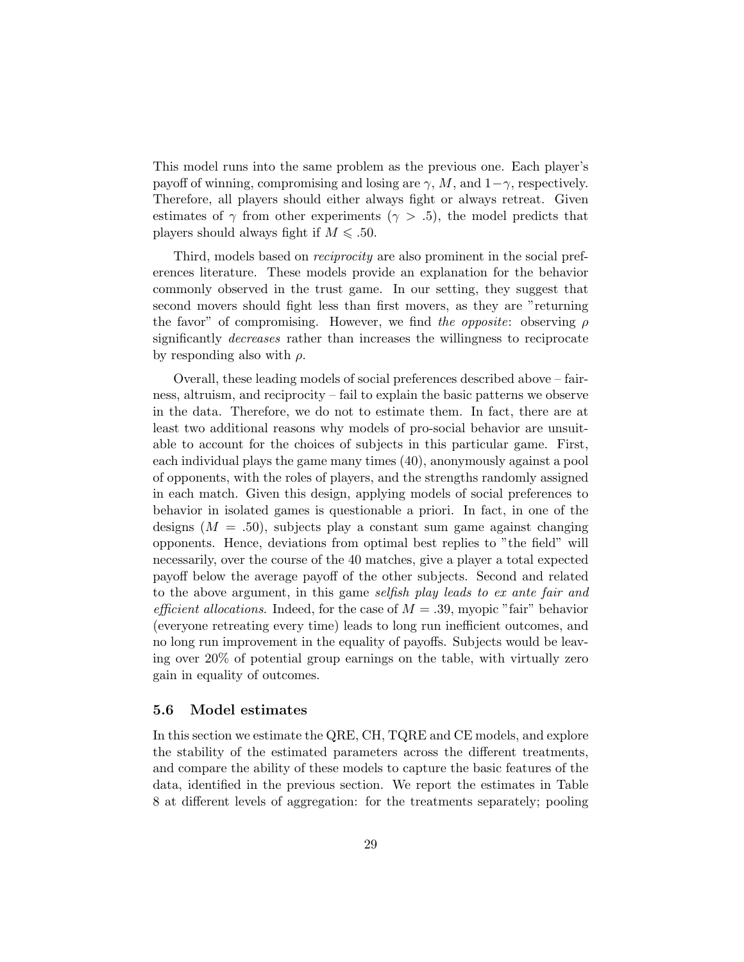This model runs into the same problem as the previous one. Each player's payoff of winning, compromising and losing are  $\gamma$ , M, and  $1-\gamma$ , respectively. Therefore, all players should either always fight or always retreat. Given estimates of  $\gamma$  from other experiments ( $\gamma > .5$ ), the model predicts that players should always fight if  $M \leq 0.50$ .

Third, models based on reciprocity are also prominent in the social preferences literature. These models provide an explanation for the behavior commonly observed in the trust game. In our setting, they suggest that second movers should fight less than first movers, as they are "returning the favor" of compromising. However, we find the opposite: observing  $\rho$ significantly decreases rather than increases the willingness to reciprocate by responding also with  $\rho$ .

Overall, these leading models of social preferences described above – fairness, altruism, and reciprocity – fail to explain the basic patterns we observe in the data. Therefore, we do not to estimate them. In fact, there are at least two additional reasons why models of pro-social behavior are unsuitable to account for the choices of subjects in this particular game. First, each individual plays the game many times (40), anonymously against a pool of opponents, with the roles of players, and the strengths randomly assigned in each match. Given this design, applying models of social preferences to behavior in isolated games is questionable a priori. In fact, in one of the designs  $(M = .50)$ , subjects play a constant sum game against changing opponents. Hence, deviations from optimal best replies to "the field" will necessarily, over the course of the 40 matches, give a player a total expected payoff below the average payoff of the other subjects. Second and related to the above argument, in this game selfish play leads to ex ante fair and efficient allocations. Indeed, for the case of  $M = .39$ , myopic "fair" behavior (everyone retreating every time) leads to long run inefficient outcomes, and no long run improvement in the equality of payoffs. Subjects would be leaving over 20% of potential group earnings on the table, with virtually zero gain in equality of outcomes.

### 5.6 Model estimates

In this section we estimate the QRE, CH, TQRE and CE models, and explore the stability of the estimated parameters across the different treatments, and compare the ability of these models to capture the basic features of the data, identified in the previous section. We report the estimates in Table 8 at different levels of aggregation: for the treatments separately; pooling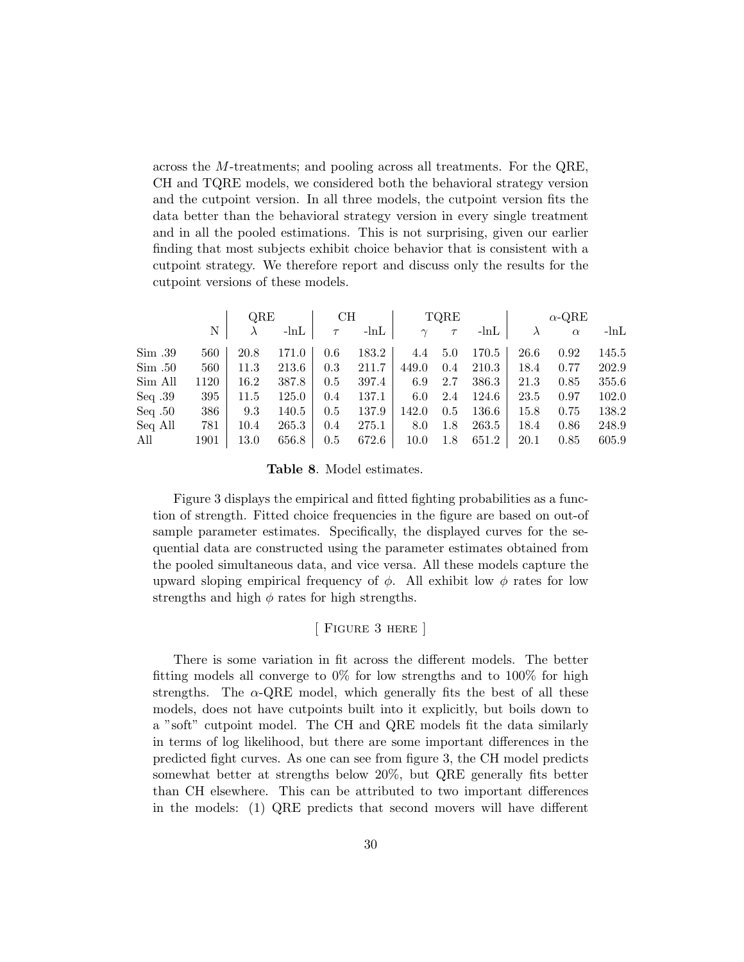across the M-treatments; and pooling across all treatments. For the QRE, CH and TQRE models, we considered both the behavioral strategy version and the cutpoint version. In all three models, the cutpoint version fits the data better than the behavioral strategy version in every single treatment and in all the pooled estimations. This is not surprising, given our earlier finding that most subjects exhibit choice behavior that is consistent with a cutpoint strategy. We therefore report and discuss only the results for the cutpoint versions of these models.

|           |      | QRE  |                 | CH     |        | TQRE     |         | $\alpha$ -QRE |           |          |                 |
|-----------|------|------|-----------------|--------|--------|----------|---------|---------------|-----------|----------|-----------------|
|           | N    |      | $-\mathrm{ln}L$ | $\tau$ | $-lnL$ | $\gamma$ | $\tau$  | $-lnL$        | $\lambda$ | $\alpha$ | $-\mathrm{ln}L$ |
| Sim.39    | 560  | 20.8 | 171.0           | 0.6    | 183.2  | 4.4      | 5.0     | 170.5         | 26.6      | 0.92     | 145.5           |
| Sim.50    | 560  | 11.3 | 213.6           | 0.3    | 211.7  | 449.0    | 0.4     | 210.3         | 18.4      | 0.77     | 202.9           |
| Sim All   | 1120 | 16.2 | 387.8           | 0.5    | 397.4  | 6.9      | 2.7     | 386.3         | 21.3      | 0.85     | 355.6           |
| Seq $.39$ | 395  | 11.5 | 125.0           | 0.4    | 137.1  | 6.0      | 2.4     | 124.6         | 23.5      | 0.97     | 102.0           |
| Seq $.50$ | 386  | 9.3  | 140.5           | 0.5    | 137.9  | 142.0    | $0.5\,$ | 136.6         | 15.8      | 0.75     | 138.2           |
| Seq All   | 781  | 10.4 | 265.3           | 0.4    | 275.1  | 8.0      | 1.8     | 263.5         | 18.4      | 0.86     | 248.9           |
| All       | 1901 | 13.0 | 656.8           | 0.5    | 672.6  | 10.0     | 1.8     | 651.2         | 20.1      | 0.85     | 605.9           |

#### Table 8. Model estimates.

Figure 3 displays the empirical and fitted fighting probabilities as a function of strength. Fitted choice frequencies in the figure are based on out-of sample parameter estimates. Specifically, the displayed curves for the sequential data are constructed using the parameter estimates obtained from the pooled simultaneous data, and vice versa. All these models capture the upward sloping empirical frequency of  $\phi$ . All exhibit low  $\phi$  rates for low strengths and high  $\phi$  rates for high strengths.

### [ Figure 3 here ]

There is some variation in fit across the different models. The better fitting models all converge to  $0\%$  for low strengths and to  $100\%$  for high strengths. The  $\alpha$ -QRE model, which generally fits the best of all these models, does not have cutpoints built into it explicitly, but boils down to a "soft" cutpoint model. The CH and QRE models fit the data similarly in terms of log likelihood, but there are some important differences in the predicted fight curves. As one can see from figure 3, the CH model predicts somewhat better at strengths below 20%, but QRE generally fits better than CH elsewhere. This can be attributed to two important differences in the models: (1) QRE predicts that second movers will have different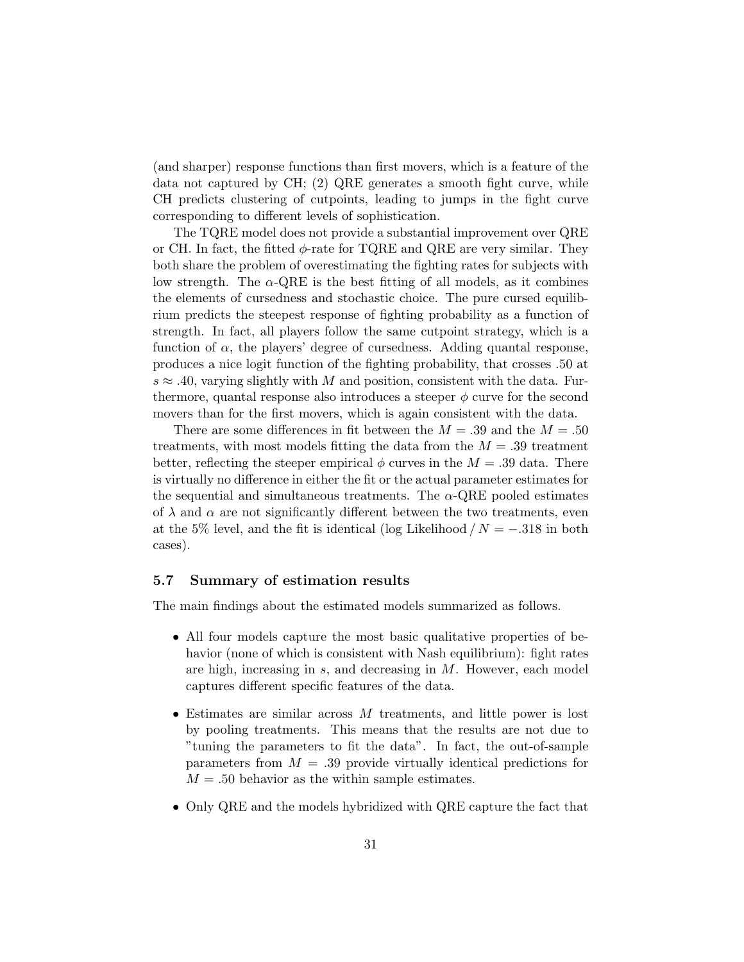(and sharper) response functions than first movers, which is a feature of the data not captured by  $CH$ ; (2)  $QRE$  generates a smooth fight curve, while CH predicts clustering of cutpoints, leading to jumps in the fight curve corresponding to different levels of sophistication.

The TQRE model does not provide a substantial improvement over QRE or CH. In fact, the fitted  $\phi$ -rate for TQRE and QRE are very similar. They both share the problem of overestimating the fighting rates for subjects with low strength. The  $\alpha$ -QRE is the best fitting of all models, as it combines the elements of cursedness and stochastic choice. The pure cursed equilibrium predicts the steepest response of fighting probability as a function of strength. In fact, all players follow the same cutpoint strategy, which is a function of  $\alpha$ , the players' degree of cursedness. Adding quantal response, produces a nice logit function of the fighting probability, that crosses .50 at  $s \approx .40$ , varying slightly with M and position, consistent with the data. Furthermore, quantal response also introduces a steeper  $\phi$  curve for the second movers than for the first movers, which is again consistent with the data.

There are some differences in fit between the  $M = .39$  and the  $M = .50$ treatments, with most models fitting the data from the  $M = .39$  treatment better, reflecting the steeper empirical  $\phi$  curves in the  $M = .39$  data. There is virtually no difference in either the fit or the actual parameter estimates for the sequential and simultaneous treatments. The  $\alpha$ -QRE pooled estimates of  $\lambda$  and  $\alpha$  are not significantly different between the two treatments, even at the 5% level, and the fit is identical (log Likelihood  $/N = -.318$  in both cases).

#### 5.7 Summary of estimation results

The main findings about the estimated models summarized as follows.

- All four models capture the most basic qualitative properties of behavior (none of which is consistent with Nash equilibrium): fight rates are high, increasing in  $s$ , and decreasing in  $M$ . However, each model captures different specific features of the data.
- Estimates are similar across M treatments, and little power is lost by pooling treatments. This means that the results are not due to "tuning the parameters to fit the data". In fact, the out-of-sample parameters from  $M = .39$  provide virtually identical predictions for  $M = .50$  behavior as the within sample estimates.
- Only QRE and the models hybridized with QRE capture the fact that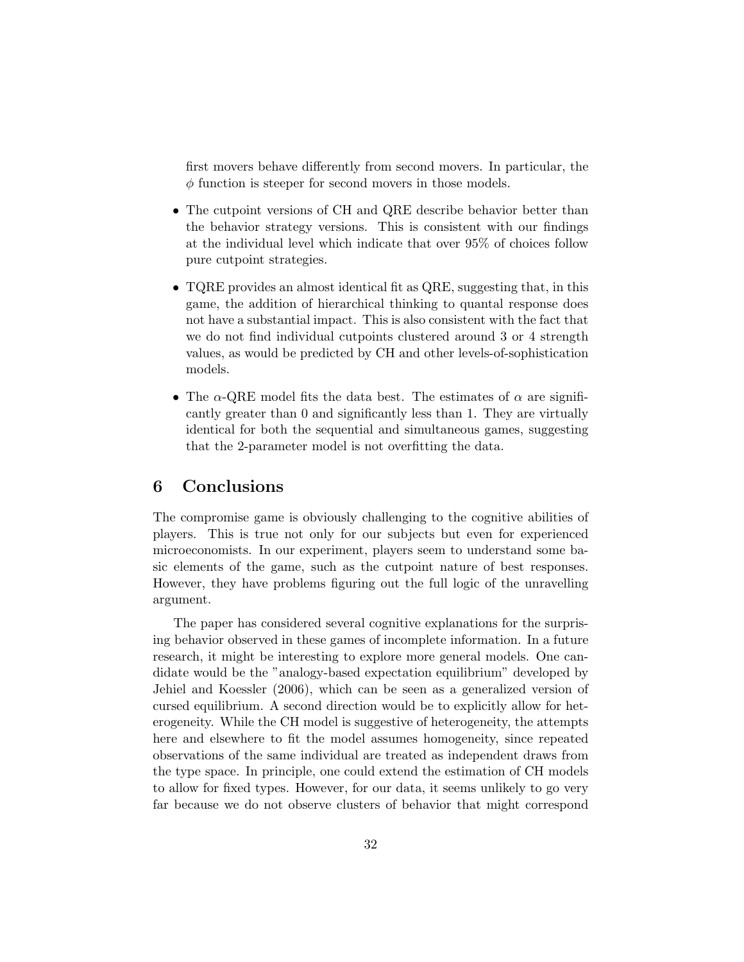first movers behave differently from second movers. In particular, the  $\phi$  function is steeper for second movers in those models.

- The cutpoint versions of CH and QRE describe behavior better than the behavior strategy versions. This is consistent with our findings at the individual level which indicate that over 95% of choices follow pure cutpoint strategies.
- TQRE provides an almost identical fit as QRE, suggesting that, in this game, the addition of hierarchical thinking to quantal response does not have a substantial impact. This is also consistent with the fact that we do not find individual cutpoints clustered around 3 or 4 strength values, as would be predicted by CH and other levels-of-sophistication models.
- The  $\alpha$ -QRE model fits the data best. The estimates of  $\alpha$  are significantly greater than 0 and significantly less than 1. They are virtually identical for both the sequential and simultaneous games, suggesting that the 2-parameter model is not overfitting the data.

## 6 Conclusions

The compromise game is obviously challenging to the cognitive abilities of players. This is true not only for our subjects but even for experienced microeconomists. In our experiment, players seem to understand some basic elements of the game, such as the cutpoint nature of best responses. However, they have problems figuring out the full logic of the unravelling argument.

The paper has considered several cognitive explanations for the surprising behavior observed in these games of incomplete information. In a future research, it might be interesting to explore more general models. One candidate would be the "analogy-based expectation equilibrium" developed by Jehiel and Koessler (2006), which can be seen as a generalized version of cursed equilibrium. A second direction would be to explicitly allow for heterogeneity. While the CH model is suggestive of heterogeneity, the attempts here and elsewhere to fit the model assumes homogeneity, since repeated observations of the same individual are treated as independent draws from the type space. In principle, one could extend the estimation of CH models to allow for fixed types. However, for our data, it seems unlikely to go very far because we do not observe clusters of behavior that might correspond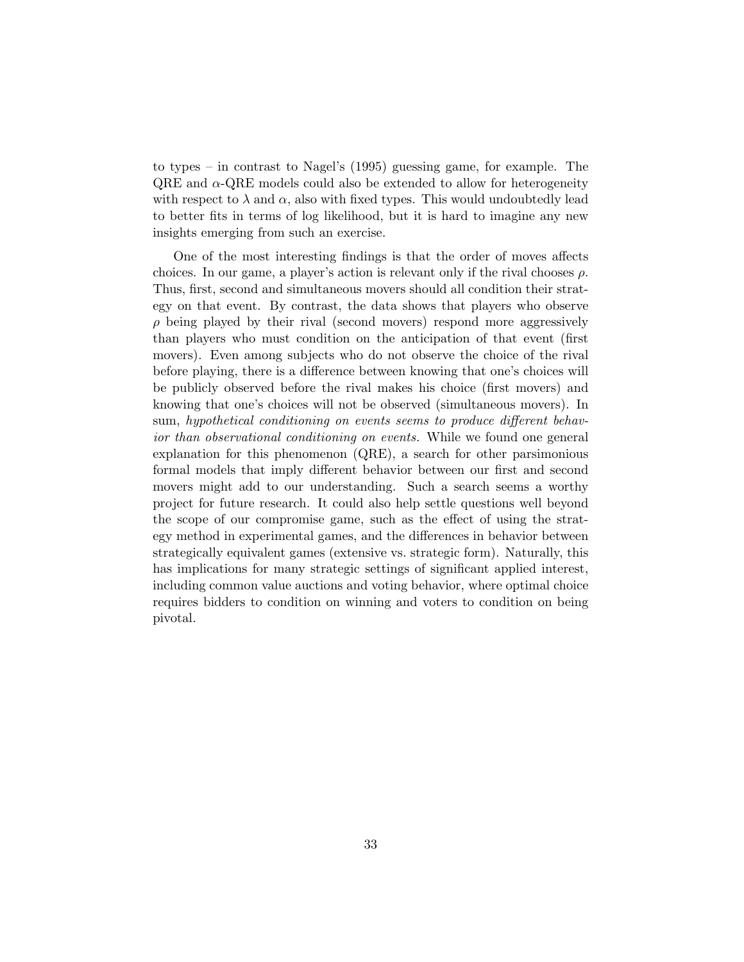to types – in contrast to Nagel's (1995) guessing game, for example. The  $QRE$  and  $\alpha$ -QRE models could also be extended to allow for heterogeneity with respect to  $\lambda$  and  $\alpha$ , also with fixed types. This would undoubtedly lead to better fits in terms of log likelihood, but it is hard to imagine any new insights emerging from such an exercise.

One of the most interesting findings is that the order of moves affects choices. In our game, a player's action is relevant only if the rival chooses  $\rho$ . Thus, first, second and simultaneous movers should all condition their strategy on that event. By contrast, the data shows that players who observe  $\rho$  being played by their rival (second movers) respond more aggressively than players who must condition on the anticipation of that event (first movers). Even among subjects who do not observe the choice of the rival before playing, there is a difference between knowing that one's choices will be publicly observed before the rival makes his choice (first movers) and knowing that one's choices will not be observed (simultaneous movers). In sum, hypothetical conditioning on events seems to produce different behavior than observational conditioning on events. While we found one general explanation for this phenomenon (QRE), a search for other parsimonious formal models that imply different behavior between our first and second movers might add to our understanding. Such a search seems a worthy project for future research. It could also help settle questions well beyond the scope of our compromise game, such as the effect of using the strategy method in experimental games, and the differences in behavior between strategically equivalent games (extensive vs. strategic form). Naturally, this has implications for many strategic settings of significant applied interest, including common value auctions and voting behavior, where optimal choice requires bidders to condition on winning and voters to condition on being pivotal.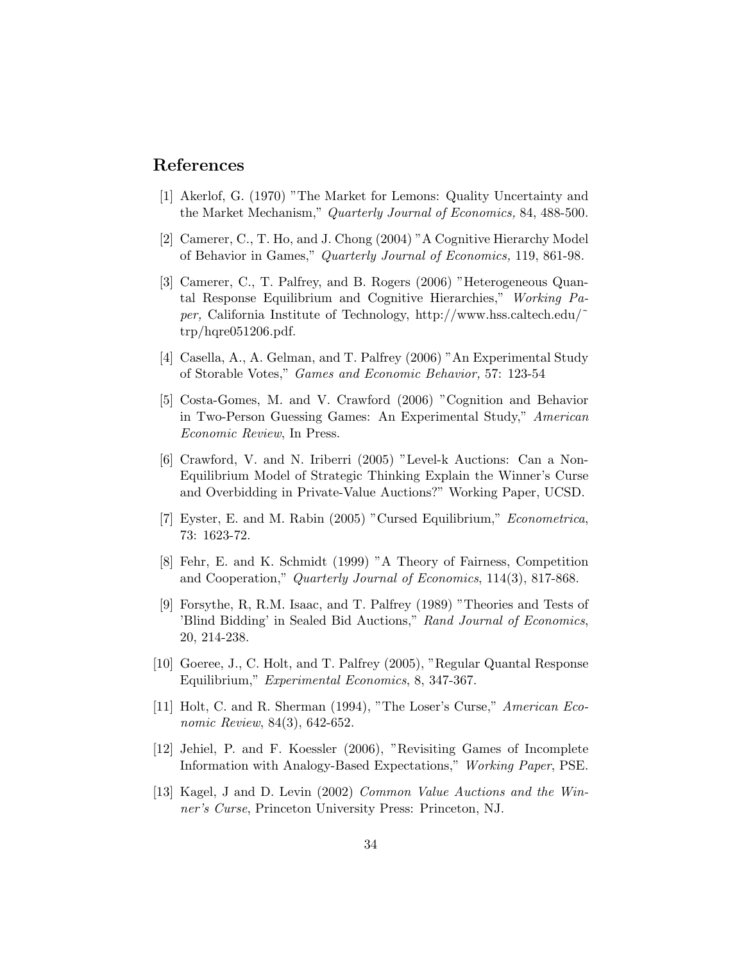### References

- [1] Akerlof, G. (1970) "The Market for Lemons: Quality Uncertainty and the Market Mechanism," Quarterly Journal of Economics, 84, 488-500.
- [2] Camerer, C., T. Ho, and J. Chong (2004) "A Cognitive Hierarchy Model of Behavior in Games," Quarterly Journal of Economics, 119, 861-98.
- [3] Camerer, C., T. Palfrey, and B. Rogers (2006) "Heterogeneous Quantal Response Equilibrium and Cognitive Hierarchies," Working Paper, California Institute of Technology, http://www.hss.caltech.edu/˜ trp/hqre051206.pdf.
- [4] Casella, A., A. Gelman, and T. Palfrey (2006) "An Experimental Study of Storable Votes," Games and Economic Behavior, 57: 123-54
- [5] Costa-Gomes, M. and V. Crawford (2006) "Cognition and Behavior in Two-Person Guessing Games: An Experimental Study," American Economic Review, In Press.
- [6] Crawford, V. and N. Iriberri (2005) "Level-k Auctions: Can a Non-Equilibrium Model of Strategic Thinking Explain the Winner's Curse and Overbidding in Private-Value Auctions?" Working Paper, UCSD.
- [7] Eyster, E. and M. Rabin (2005) "Cursed Equilibrium," Econometrica, 73: 1623-72.
- [8] Fehr, E. and K. Schmidt (1999) "A Theory of Fairness, Competition and Cooperation," Quarterly Journal of Economics, 114(3), 817-868.
- [9] Forsythe, R, R.M. Isaac, and T. Palfrey (1989) "Theories and Tests of 'Blind Bidding' in Sealed Bid Auctions," Rand Journal of Economics, 20, 214-238.
- [10] Goeree, J., C. Holt, and T. Palfrey (2005), "Regular Quantal Response Equilibrium," Experimental Economics, 8, 347-367.
- [11] Holt, C. and R. Sherman (1994), "The Loser's Curse," American Economic Review, 84(3), 642-652.
- [12] Jehiel, P. and F. Koessler (2006), "Revisiting Games of Incomplete Information with Analogy-Based Expectations," Working Paper, PSE.
- [13] Kagel, J and D. Levin (2002) Common Value Auctions and the Winner's Curse, Princeton University Press: Princeton, NJ.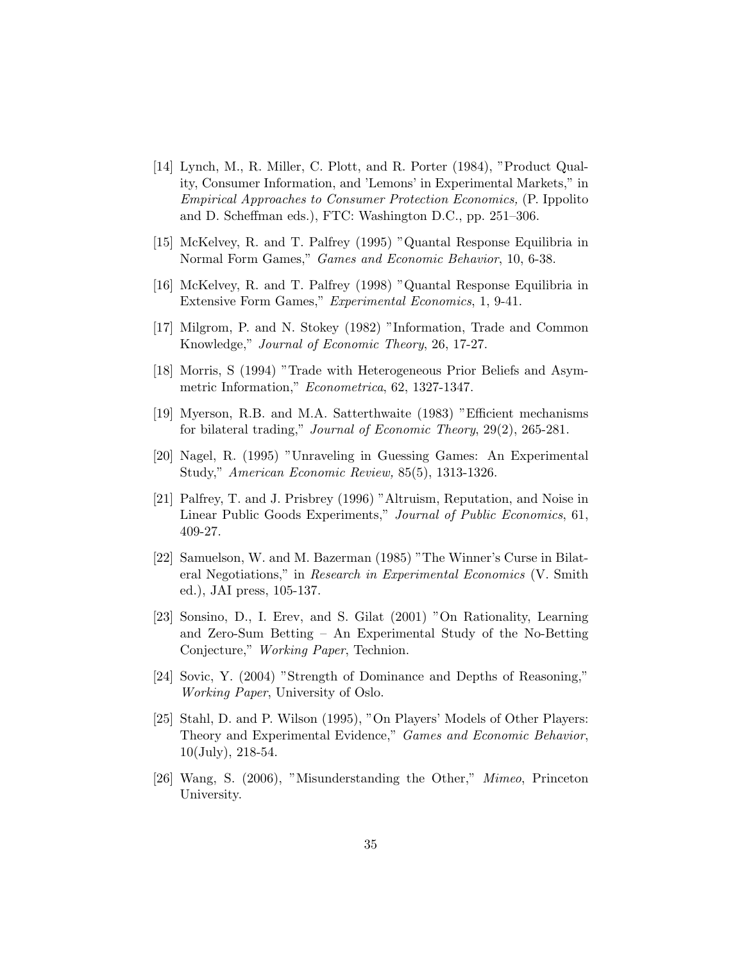- [14] Lynch, M., R. Miller, C. Plott, and R. Porter (1984), "Product Quality, Consumer Information, and 'Lemons' in Experimental Markets," in Empirical Approaches to Consumer Protection Economics, (P. Ippolito and D. Scheffman eds.), FTC: Washington D.C., pp. 251–306.
- [15] McKelvey, R. and T. Palfrey (1995) "Quantal Response Equilibria in Normal Form Games," Games and Economic Behavior, 10, 6-38.
- [16] McKelvey, R. and T. Palfrey (1998) "Quantal Response Equilibria in Extensive Form Games," Experimental Economics, 1, 9-41.
- [17] Milgrom, P. and N. Stokey (1982) "Information, Trade and Common Knowledge," Journal of Economic Theory, 26, 17-27.
- [18] Morris, S (1994) "Trade with Heterogeneous Prior Beliefs and Asymmetric Information," Econometrica, 62, 1327-1347.
- [19] Myerson, R.B. and M.A. Satterthwaite (1983) "Efficient mechanisms for bilateral trading," Journal of Economic Theory, 29(2), 265-281.
- [20] Nagel, R. (1995) "Unraveling in Guessing Games: An Experimental Study," American Economic Review, 85(5), 1313-1326.
- [21] Palfrey, T. and J. Prisbrey (1996) "Altruism, Reputation, and Noise in Linear Public Goods Experiments," Journal of Public Economics, 61, 409-27.
- [22] Samuelson, W. and M. Bazerman (1985) "The Winner's Curse in Bilateral Negotiations," in Research in Experimental Economics (V. Smith ed.), JAI press, 105-137.
- [23] Sonsino, D., I. Erev, and S. Gilat (2001) "On Rationality, Learning and Zero-Sum Betting – An Experimental Study of the No-Betting Conjecture," Working Paper, Technion.
- [24] Sovic, Y. (2004) "Strength of Dominance and Depths of Reasoning," Working Paper, University of Oslo.
- [25] Stahl, D. and P. Wilson (1995), "On Players' Models of Other Players: Theory and Experimental Evidence," Games and Economic Behavior, 10(July), 218-54.
- [26] Wang, S. (2006), "Misunderstanding the Other," Mimeo, Princeton University.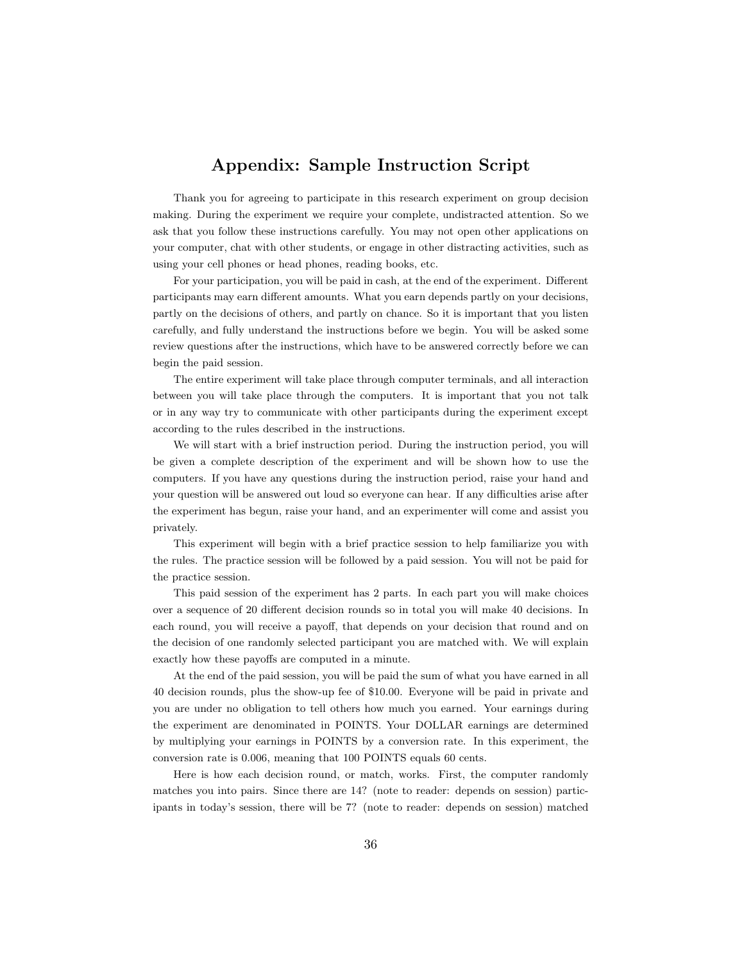# Appendix: Sample Instruction Script

Thank you for agreeing to participate in this research experiment on group decision making. During the experiment we require your complete, undistracted attention. So we ask that you follow these instructions carefully. You may not open other applications on your computer, chat with other students, or engage in other distracting activities, such as using your cell phones or head phones, reading books, etc.

For your participation, you will be paid in cash, at the end of the experiment. Different participants may earn different amounts. What you earn depends partly on your decisions, partly on the decisions of others, and partly on chance. So it is important that you listen carefully, and fully understand the instructions before we begin. You will be asked some review questions after the instructions, which have to be answered correctly before we can begin the paid session.

The entire experiment will take place through computer terminals, and all interaction between you will take place through the computers. It is important that you not talk or in any way try to communicate with other participants during the experiment except according to the rules described in the instructions.

We will start with a brief instruction period. During the instruction period, you will be given a complete description of the experiment and will be shown how to use the computers. If you have any questions during the instruction period, raise your hand and your question will be answered out loud so everyone can hear. If any difficulties arise after the experiment has begun, raise your hand, and an experimenter will come and assist you privately.

This experiment will begin with a brief practice session to help familiarize you with the rules. The practice session will be followed by a paid session. You will not be paid for the practice session.

This paid session of the experiment has 2 parts. In each part you will make choices over a sequence of 20 different decision rounds so in total you will make 40 decisions. In each round, you will receive a payoff, that depends on your decision that round and on the decision of one randomly selected participant you are matched with. We will explain exactly how these payoffs are computed in a minute.

At the end of the paid session, you will be paid the sum of what you have earned in all 40 decision rounds, plus the show-up fee of \$10.00. Everyone will be paid in private and you are under no obligation to tell others how much you earned. Your earnings during the experiment are denominated in POINTS. Your DOLLAR earnings are determined by multiplying your earnings in POINTS by a conversion rate. In this experiment, the conversion rate is 0.006, meaning that 100 POINTS equals 60 cents.

Here is how each decision round, or match, works. First, the computer randomly matches you into pairs. Since there are 14? (note to reader: depends on session) participants in today's session, there will be 7? (note to reader: depends on session) matched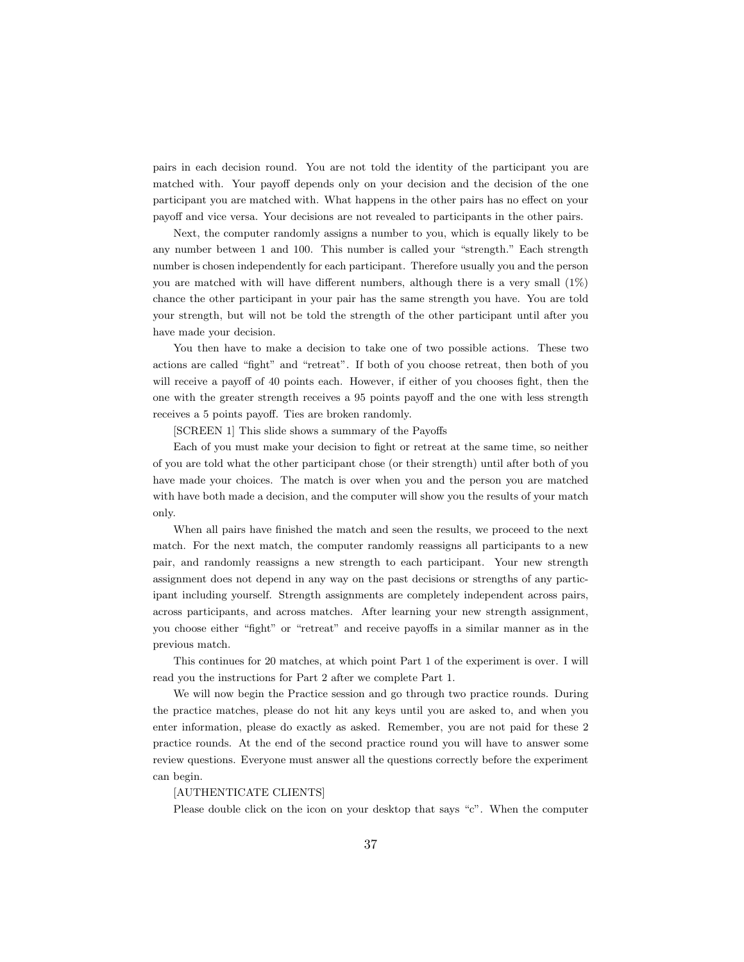pairs in each decision round. You are not told the identity of the participant you are matched with. Your payoff depends only on your decision and the decision of the one participant you are matched with. What happens in the other pairs has no effect on your payoff and vice versa. Your decisions are not revealed to participants in the other pairs.

Next, the computer randomly assigns a number to you, which is equally likely to be any number between 1 and 100. This number is called your "strength." Each strength number is chosen independently for each participant. Therefore usually you and the person you are matched with will have different numbers, although there is a very small (1%) chance the other participant in your pair has the same strength you have. You are told your strength, but will not be told the strength of the other participant until after you have made your decision.

You then have to make a decision to take one of two possible actions. These two actions are called "fight" and "retreat". If both of you choose retreat, then both of you will receive a payoff of 40 points each. However, if either of you chooses fight, then the one with the greater strength receives a 95 points payoff and the one with less strength receives a 5 points payoff. Ties are broken randomly.

[SCREEN 1] This slide shows a summary of the Payoffs

Each of you must make your decision to fight or retreat at the same time, so neither of you are told what the other participant chose (or their strength) until after both of you have made your choices. The match is over when you and the person you are matched with have both made a decision, and the computer will show you the results of your match only.

When all pairs have finished the match and seen the results, we proceed to the next match. For the next match, the computer randomly reassigns all participants to a new pair, and randomly reassigns a new strength to each participant. Your new strength assignment does not depend in any way on the past decisions or strengths of any participant including yourself. Strength assignments are completely independent across pairs, across participants, and across matches. After learning your new strength assignment, you choose either "fight" or "retreat" and receive payoffs in a similar manner as in the previous match.

This continues for 20 matches, at which point Part 1 of the experiment is over. I will read you the instructions for Part 2 after we complete Part 1.

We will now begin the Practice session and go through two practice rounds. During the practice matches, please do not hit any keys until you are asked to, and when you enter information, please do exactly as asked. Remember, you are not paid for these 2 practice rounds. At the end of the second practice round you will have to answer some review questions. Everyone must answer all the questions correctly before the experiment can begin.

#### [AUTHENTICATE CLIENTS]

Please double click on the icon on your desktop that says "c". When the computer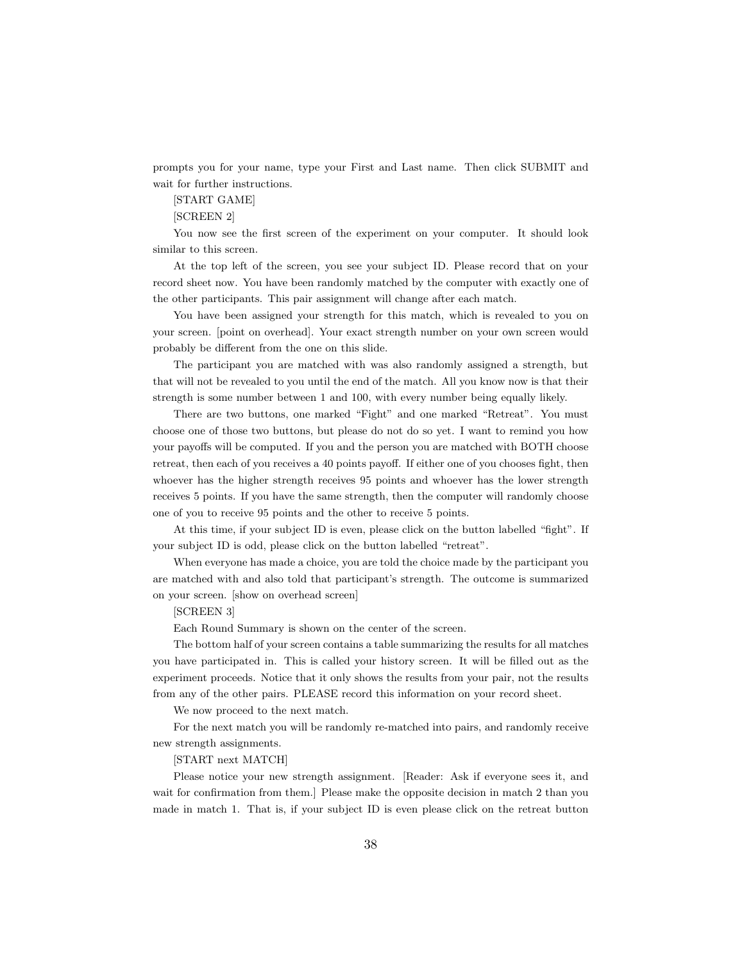prompts you for your name, type your First and Last name. Then click SUBMIT and wait for further instructions.

[START GAME]

[SCREEN 2]

You now see the first screen of the experiment on your computer. It should look similar to this screen.

At the top left of the screen, you see your subject ID. Please record that on your record sheet now. You have been randomly matched by the computer with exactly one of the other participants. This pair assignment will change after each match.

You have been assigned your strength for this match, which is revealed to you on your screen. [point on overhead]. Your exact strength number on your own screen would probably be different from the one on this slide.

The participant you are matched with was also randomly assigned a strength, but that will not be revealed to you until the end of the match. All you know now is that their strength is some number between 1 and 100, with every number being equally likely.

There are two buttons, one marked "Fight" and one marked "Retreat". You must choose one of those two buttons, but please do not do so yet. I want to remind you how your payoffs will be computed. If you and the person you are matched with BOTH choose retreat, then each of you receives a 40 points payoff. If either one of you chooses fight, then whoever has the higher strength receives 95 points and whoever has the lower strength receives 5 points. If you have the same strength, then the computer will randomly choose one of you to receive 95 points and the other to receive 5 points.

At this time, if your subject ID is even, please click on the button labelled "fight". If your subject ID is odd, please click on the button labelled "retreat".

When everyone has made a choice, you are told the choice made by the participant you are matched with and also told that participant's strength. The outcome is summarized on your screen. [show on overhead screen]

[SCREEN 3]

Each Round Summary is shown on the center of the screen.

The bottom half of your screen contains a table summarizing the results for all matches you have participated in. This is called your history screen. It will be filled out as the experiment proceeds. Notice that it only shows the results from your pair, not the results from any of the other pairs. PLEASE record this information on your record sheet.

We now proceed to the next match.

For the next match you will be randomly re-matched into pairs, and randomly receive new strength assignments.

[START next MATCH]

Please notice your new strength assignment. [Reader: Ask if everyone sees it, and wait for confirmation from them.] Please make the opposite decision in match 2 than you made in match 1. That is, if your subject ID is even please click on the retreat button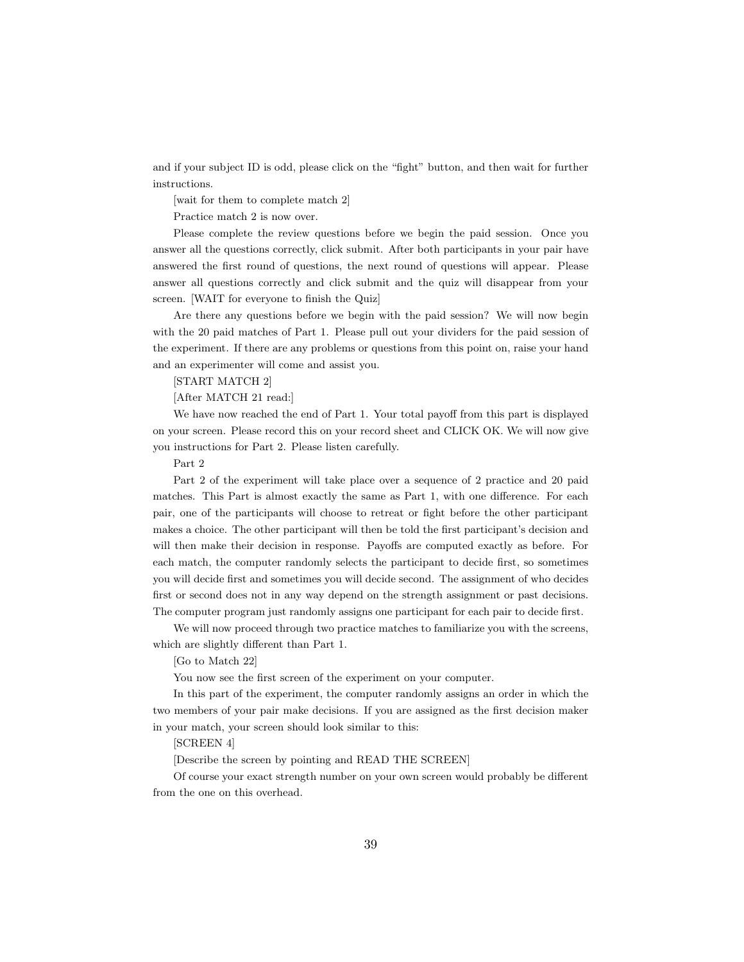and if your subject ID is odd, please click on the "fight" button, and then wait for further instructions.

[wait for them to complete match 2]

Practice match 2 is now over.

Please complete the review questions before we begin the paid session. Once you answer all the questions correctly, click submit. After both participants in your pair have answered the first round of questions, the next round of questions will appear. Please answer all questions correctly and click submit and the quiz will disappear from your screen. [WAIT for everyone to finish the Quiz]

Are there any questions before we begin with the paid session? We will now begin with the 20 paid matches of Part 1. Please pull out your dividers for the paid session of the experiment. If there are any problems or questions from this point on, raise your hand and an experimenter will come and assist you.

#### [START MATCH 2]

[After MATCH 21 read:]

We have now reached the end of Part 1. Your total payoff from this part is displayed on your screen. Please record this on your record sheet and CLICK OK. We will now give you instructions for Part 2. Please listen carefully.

Part 2

Part 2 of the experiment will take place over a sequence of 2 practice and 20 paid matches. This Part is almost exactly the same as Part 1, with one difference. For each pair, one of the participants will choose to retreat or fight before the other participant makes a choice. The other participant will then be told the first participant's decision and will then make their decision in response. Payoffs are computed exactly as before. For each match, the computer randomly selects the participant to decide first, so sometimes you will decide first and sometimes you will decide second. The assignment of who decides first or second does not in any way depend on the strength assignment or past decisions. The computer program just randomly assigns one participant for each pair to decide first.

We will now proceed through two practice matches to familiarize you with the screens, which are slightly different than Part 1.

[Go to Match 22]

You now see the first screen of the experiment on your computer.

In this part of the experiment, the computer randomly assigns an order in which the two members of your pair make decisions. If you are assigned as the first decision maker in your match, your screen should look similar to this:

[SCREEN 4]

[Describe the screen by pointing and READ THE SCREEN]

Of course your exact strength number on your own screen would probably be different from the one on this overhead.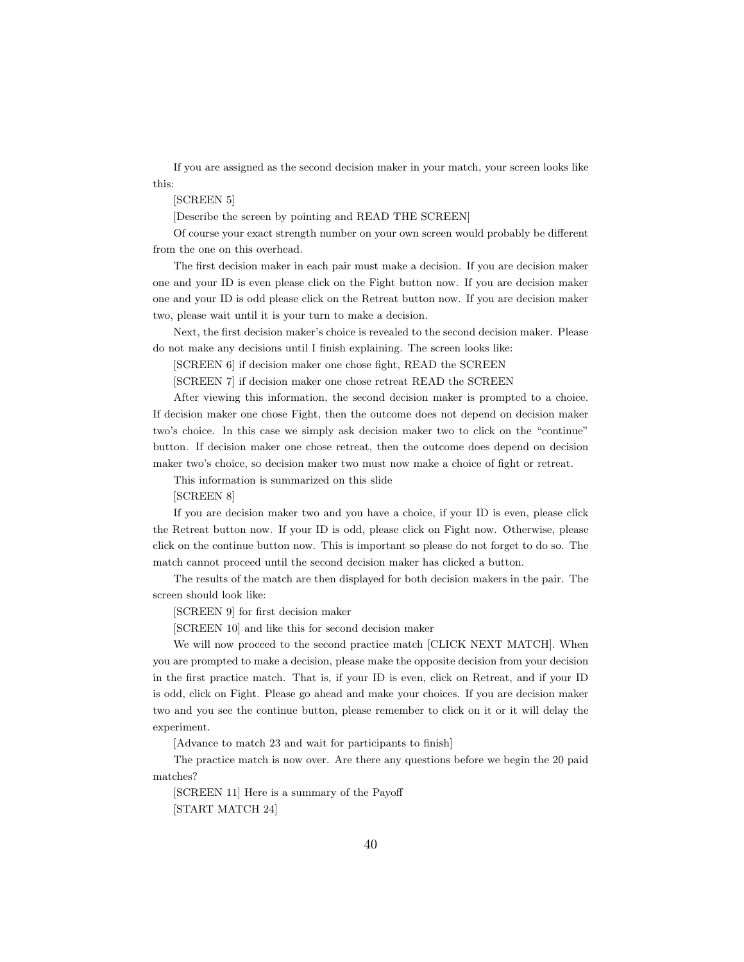If you are assigned as the second decision maker in your match, your screen looks like this:

#### [SCREEN 5]

[Describe the screen by pointing and READ THE SCREEN]

Of course your exact strength number on your own screen would probably be different from the one on this overhead.

The first decision maker in each pair must make a decision. If you are decision maker one and your ID is even please click on the Fight button now. If you are decision maker one and your ID is odd please click on the Retreat button now. If you are decision maker two, please wait until it is your turn to make a decision.

Next, the first decision maker's choice is revealed to the second decision maker. Please do not make any decisions until I finish explaining. The screen looks like:

[SCREEN 6] if decision maker one chose fight, READ the SCREEN

[SCREEN 7] if decision maker one chose retreat READ the SCREEN

After viewing this information, the second decision maker is prompted to a choice. If decision maker one chose Fight, then the outcome does not depend on decision maker two's choice. In this case we simply ask decision maker two to click on the "continue" button. If decision maker one chose retreat, then the outcome does depend on decision maker two's choice, so decision maker two must now make a choice of fight or retreat.

This information is summarized on this slide

[SCREEN 8]

If you are decision maker two and you have a choice, if your ID is even, please click the Retreat button now. If your ID is odd, please click on Fight now. Otherwise, please click on the continue button now. This is important so please do not forget to do so. The match cannot proceed until the second decision maker has clicked a button.

The results of the match are then displayed for both decision makers in the pair. The screen should look like:

[SCREEN 9] for first decision maker

[SCREEN 10] and like this for second decision maker

We will now proceed to the second practice match [CLICK NEXT MATCH]. When you are prompted to make a decision, please make the opposite decision from your decision in the first practice match. That is, if your ID is even, click on Retreat, and if your ID is odd, click on Fight. Please go ahead and make your choices. If you are decision maker two and you see the continue button, please remember to click on it or it will delay the experiment.

[Advance to match 23 and wait for participants to finish]

The practice match is now over. Are there any questions before we begin the 20 paid matches?

[SCREEN 11] Here is a summary of the Payoff [START MATCH 24]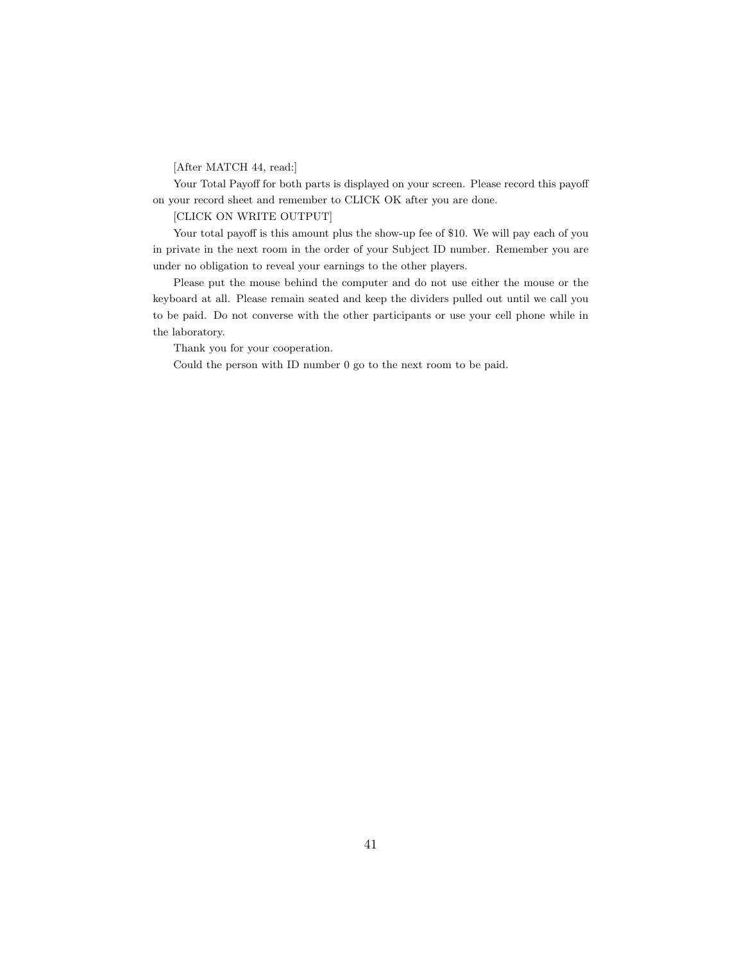[After MATCH 44, read:]

Your Total Payoff for both parts is displayed on your screen. Please record this payoff on your record sheet and remember to CLICK OK after you are done.

[CLICK ON WRITE OUTPUT]

Your total payoff is this amount plus the show-up fee of \$10. We will pay each of you in private in the next room in the order of your Subject ID number. Remember you are under no obligation to reveal your earnings to the other players.

Please put the mouse behind the computer and do not use either the mouse or the keyboard at all. Please remain seated and keep the dividers pulled out until we call you to be paid. Do not converse with the other participants or use your cell phone while in the laboratory.

Thank you for your cooperation.

Could the person with ID number 0 go to the next room to be paid.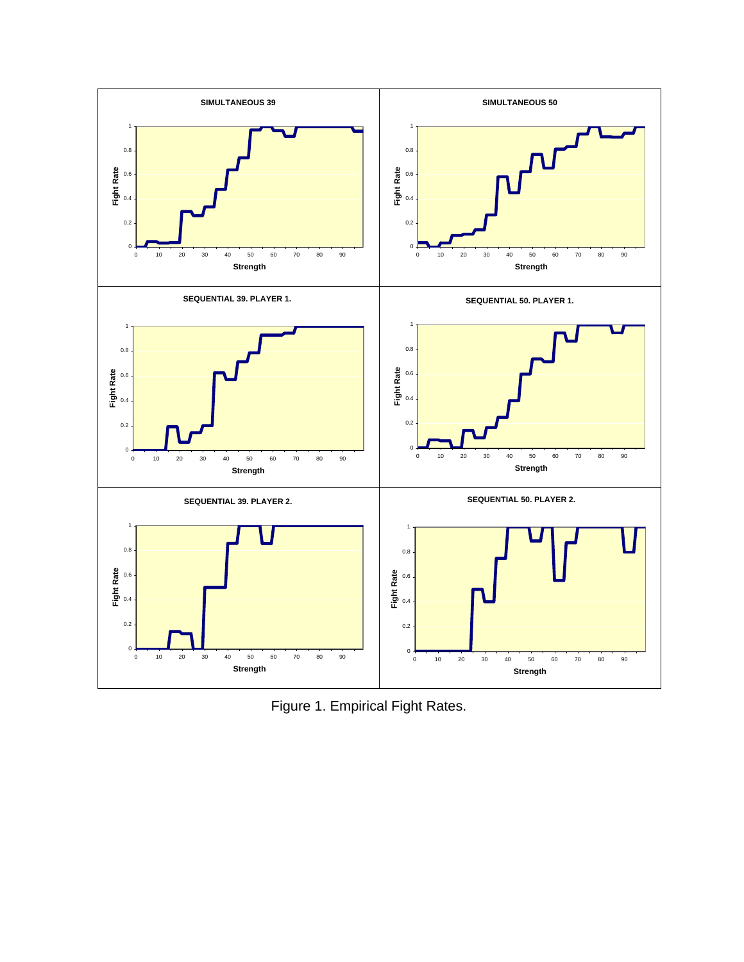

Figure 1. Empirical Fight Rates.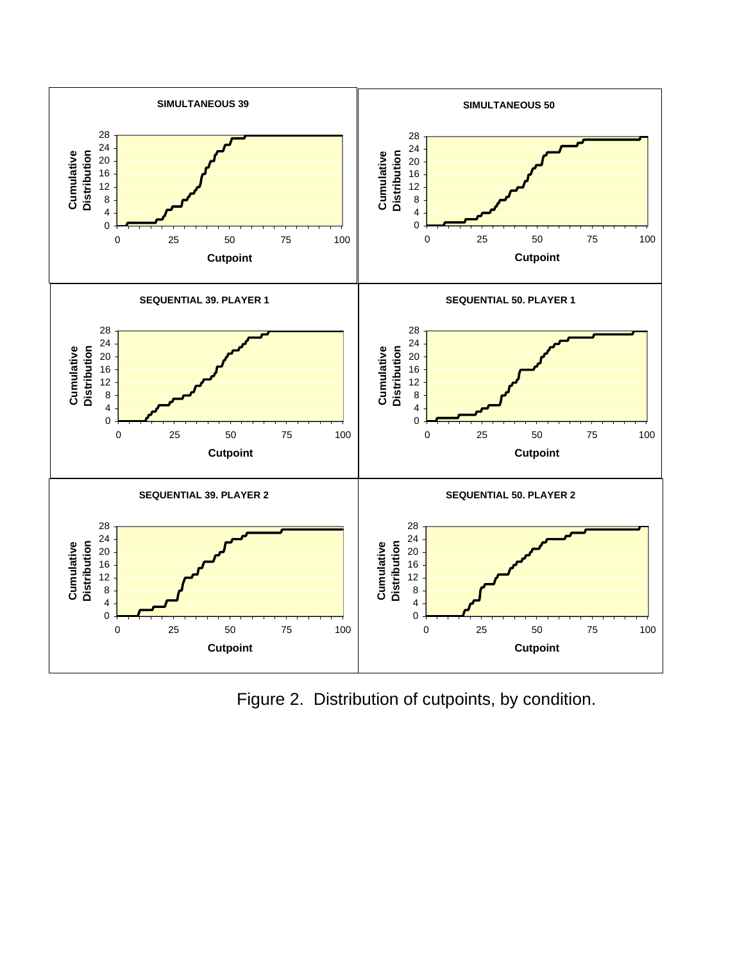

Figure 2. Distribution of cutpoints, by condition.